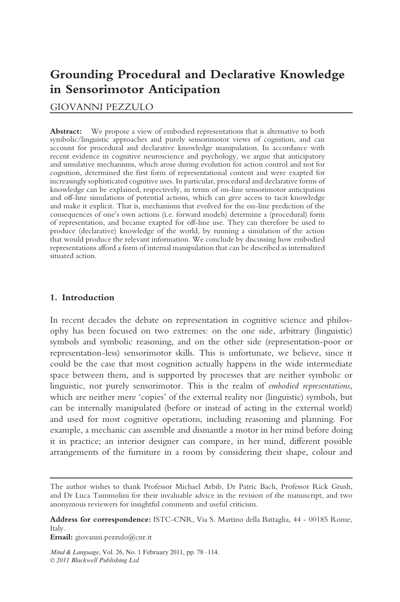# **Grounding Procedural and Declarative Knowledge in Sensorimotor Anticipation**

# GIOVANNI PEZZULO

**Abstract:** We propose a view of embodied representations that is alternative to both symbolic/linguistic approaches and purely sensorimotor views of cognition, and can account for procedural and declarative knowledge manipulation. In accordance with recent evidence in cognitive neuroscience and psychology, we argue that anticipatory and simulative mechanisms, which arose during evolution for action control and not for cognition, determined the first form of representational content and were exapted for increasingly sophisticated cognitive uses. In particular, procedural and declarative forms of knowledge can be explained, respectively, in terms of on-line sensorimotor anticipation and off-line simulations of potential actions, which can give access to tacit knowledge and make it explicit. That is, mechanisms that evolved for the on-line prediction of the consequences of one's own actions (i.e. forward models) determine a (procedural) form of representation, and became exapted for off-line use. They can therefore be used to produce (declarative) knowledge of the world, by running a simulation of the action that would produce the relevant information. We conclude by discussing how embodied representations afford a form of internal manipulation that can be described as internalized situated action.

# **1. Introduction**

In recent decades the debate on representation in cognitive science and philosophy has been focused on two extremes: on the one side, arbitrary (linguistic) symbols and symbolic reasoning, and on the other side (representation-poor or representation-less) sensorimotor skills. This is unfortunate, we believe, since it could be the case that most cognition actually happens in the wide intermediate space between them, and is supported by processes that are neither symbolic or linguistic, nor purely sensorimotor. This is the realm of *embodied representations*, which are neither mere 'copies' of the external reality nor (linguistic) symbols, but can be internally manipulated (before or instead of acting in the external world) and used for most cognitive operations, including reasoning and planning. For example, a mechanic can assemble and dismantle a motor in her mind before doing it in practice; an interior designer can compare, in her mind, different possible arrangements of the furniture in a room by considering their shape, colour and

**Email:** giovanni.pezzulo@cnr.it

The author wishes to thank Professor Michael Arbib, Dr Patric Bach, Professor Rick Grush, and Dr Luca Tummolini for their invaluable advice in the revision of the manuscript, and two anonymous reviewers for insightful comments and useful criticism.

**Address for correspondence:** ISTC-CNR, Via S. Martino della Battaglia, 44 - 00185 Rome, Italy.

*Mind & Language*, Vol. 26, No. 1 February 2011, pp. 78–114. © *2011 Blackwell Publishing Ltd*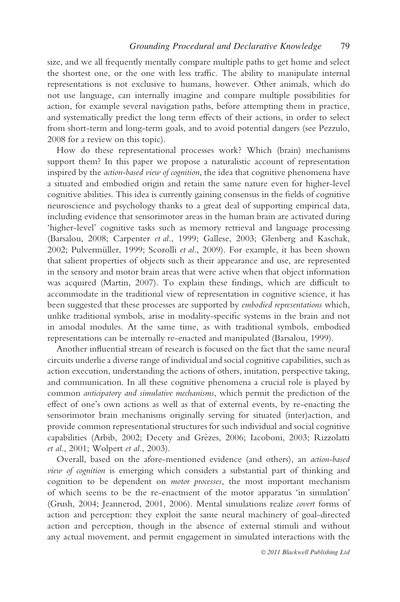size, and we all frequently mentally compare multiple paths to get home and select the shortest one, or the one with less traffic. The ability to manipulate internal representations is not exclusive to humans, however. Other animals, which do not use language, can internally imagine and compare multiple possibilities for action, for example several navigation paths, before attempting them in practice, and systematically predict the long term effects of their actions, in order to select from short-term and long-term goals, and to avoid potential dangers (see Pezzulo, 2008 for a review on this topic).

How do these representational processes work? Which (brain) mechanisms support them? In this paper we propose a naturalistic account of representation inspired by the *action-based view of cognition*, the idea that cognitive phenomena have a situated and embodied origin and retain the same nature even for higher-level cognitive abilities. This idea is currently gaining consensus in the fields of cognitive neuroscience and psychology thanks to a great deal of supporting empirical data, including evidence that sensorimotor areas in the human brain are activated during 'higher-level' cognitive tasks such as memory retrieval and language processing (Barsalou, 2008; Carpenter *et al*., 1999; Gallese, 2003; Glenberg and Kaschak, 2002; Pulvermüller, 1999; Scorolli et al., 2009). For example, it has been shown that salient properties of objects such as their appearance and use, are represented in the sensory and motor brain areas that were active when that object information was acquired (Martin, 2007). To explain these findings, which are difficult to accommodate in the traditional view of representation in cognitive science, it has been suggested that these processes are supported by *embodied representations* which, unlike traditional symbols, arise in modality-specific systems in the brain and not in amodal modules. At the same time, as with traditional symbols, embodied representations can be internally re-enacted and manipulated (Barsalou, 1999).

Another influential stream of research is focused on the fact that the same neural circuits underlie a diverse range of individualand social cognitive capabilities, such as action execution, understanding the actions of others, imitation, perspective taking, and communication. In all these cognitive phenomena a crucial role is played by common *anticipatory and simulative mechanisms*, which permit the prediction of the effect of one's own actions as well as that of external events, by re-enacting the sensorimotor brain mechanisms originally serving for situated (inter)action, and provide common representational structures for such individual and social cognitive capabilities (Arbib, 2002; Decety and Grèzes, 2006; Iacoboni, 2003; Rizzolatti *et al*., 2001; Wolpert *et al*., 2003).

Overall, based on the afore-mentioned evidence (and others), an *action-based view of cognition* is emerging which considers a substantial part of thinking and cognition to be dependent on *motor processes*, the most important mechanism of which seems to be the re-enactment of the motor apparatus 'in simulation' (Grush, 2004; Jeannerod, 2001, 2006). Mental simulations realize *covert* forms of action and perception: they exploit the same neural machinery of goal-directed action and perception, though in the absence of external stimuli and without any actual movement, and permit engagement in simulated interactions with the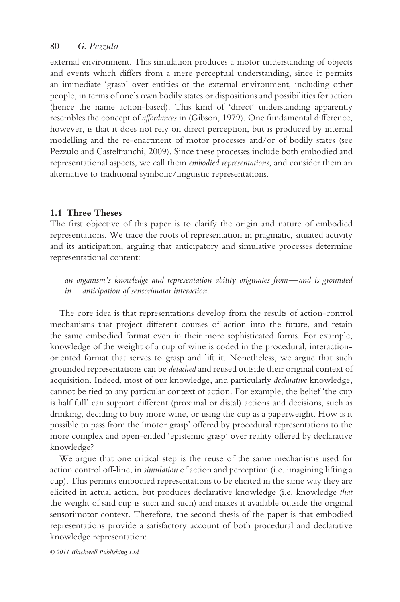external environment. This simulation produces a motor understanding of objects and events which differs from a mere perceptual understanding, since it permits an immediate 'grasp' over entities of the external environment, including other people, in terms of one's own bodily states or dispositions and possibilities for action (hence the name action-based). This kind of 'direct' understanding apparently resembles the concept of *affordances* in (Gibson, 1979). One fundamental difference, however, is that it does not rely on direct perception, but is produced by internal modelling and the re-enactment of motor processes and/or of bodily states (see Pezzulo and Castelfranchi, 2009). Since these processes include both embodied and representational aspects, we call them *embodied representations*, and consider them an alternative to traditional symbolic/linguistic representations.

# **1.1 Three Theses**

The first objective of this paper is to clarify the origin and nature of embodied representations. We trace the roots of representation in pragmatic, situated activity and its anticipation, arguing that anticipatory and simulative processes determine representational content:

*an organism's knowledge and representation ability originates from—and is grounded in—anticipation of sensorimotor interaction.*

The core idea is that representations develop from the results of action-control mechanisms that project different courses of action into the future, and retain the same embodied format even in their more sophisticated forms. For example, knowledge of the weight of a cup of wine is coded in the procedural, interactionoriented format that serves to grasp and lift it. Nonetheless, we argue that such grounded representations can be *detached* and reused outside their original context of acquisition. Indeed, most of our knowledge, and particularly *declarative* knowledge, cannot be tied to any particular context of action. For example, the belief 'the cup is half full' can support different (proximal or distal) actions and decisions, such as drinking, deciding to buy more wine, or using the cup as a paperweight. How is it possible to pass from the 'motor grasp' offered by procedural representations to the more complex and open-ended 'epistemic grasp' over reality offered by declarative knowledge?

We argue that one critical step is the reuse of the same mechanisms used for action control off-line, in *simulation* of action and perception (i.e. imagining lifting a cup). This permits embodied representations to be elicited in the same way they are elicited in actual action, but produces declarative knowledge (i.e. knowledge *that* the weight of said cup is such and such) and makes it available outside the original sensorimotor context. Therefore, the second thesis of the paper is that embodied representations provide a satisfactory account of both procedural and declarative knowledge representation: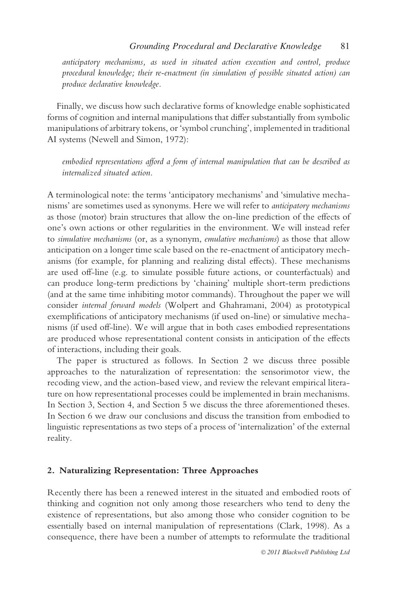*anticipatory mechanisms, as used in situated action execution and control, produce procedural knowledge; their re-enactment (in simulation of possible situated action) can produce declarative knowledge.*

Finally, we discuss how such declarative forms of knowledge enable sophisticated forms of cognition and internal manipulations that differ substantially from symbolic manipulations of arbitrary tokens, or 'symbol crunching', implemented in traditional AI systems (Newell and Simon, 1972):

*embodied representations afford a form of internal manipulation that can be described as internalized situated action.*

A terminological note: the terms 'anticipatory mechanisms' and 'simulative mechanisms' are sometimes used as synonyms. Here we will refer to *anticipatory mechanisms* as those (motor) brain structures that allow the on-line prediction of the effects of one's own actions or other regularities in the environment. We will instead refer to *simulative mechanisms* (or, as a synonym, *emulative mechanisms*) as those that allow anticipation on a longer time scale based on the re-enactment of anticipatory mechanisms (for example, for planning and realizing distal effects). These mechanisms are used off-line (e.g. to simulate possible future actions, or counterfactuals) and can produce long-term predictions by 'chaining' multiple short-term predictions (and at the same time inhibiting motor commands). Throughout the paper we will consider *internal forward models* (Wolpert and Ghahramani, 2004) as prototypical exemplifications of anticipatory mechanisms (if used on-line) or simulative mechanisms (if used off-line). We will argue that in both cases embodied representations are produced whose representational content consists in anticipation of the effects of interactions, including their goals.

The paper is structured as follows. In Section 2 we discuss three possible approaches to the naturalization of representation: the sensorimotor view, the recoding view, and the action-based view, and review the relevant empirical literature on how representational processes could be implemented in brain mechanisms. In Section 3, Section 4, and Section 5 we discuss the three aforementioned theses. In Section 6 we draw our conclusions and discuss the transition from embodied to linguistic representations as two steps of a process of 'internalization' of the external reality.

#### **2. Naturalizing Representation: Three Approaches**

Recently there has been a renewed interest in the situated and embodied roots of thinking and cognition not only among those researchers who tend to deny the existence of representations, but also among those who consider cognition to be essentially based on internal manipulation of representations (Clark, 1998). As a consequence, there have been a number of attempts to reformulate the traditional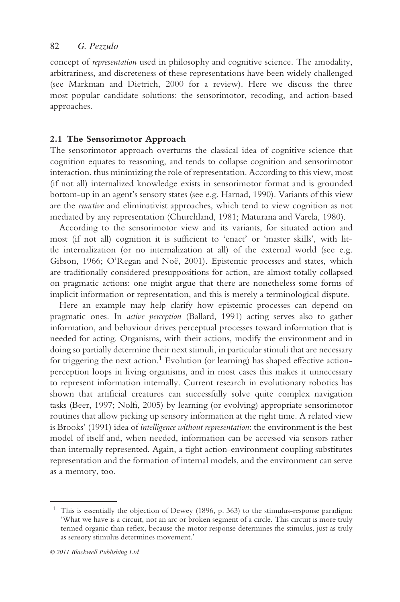concept of *representation* used in philosophy and cognitive science. The amodality, arbitrariness, and discreteness of these representations have been widely challenged (see Markman and Dietrich, 2000 for a review). Here we discuss the three most popular candidate solutions: the sensorimotor, recoding, and action-based approaches.

# **2.1 The Sensorimotor Approach**

The sensorimotor approach overturns the classical idea of cognitive science that cognition equates to reasoning, and tends to collapse cognition and sensorimotor interaction, thus minimizing the role of representation. According to this view, most (if not all) internalized knowledge exists in sensorimotor format and is grounded bottom-up in an agent's sensory states (see e.g. Harnad, 1990). Variants of this view are the *enactive* and eliminativist approaches, which tend to view cognition as not mediated by any representation (Churchland, 1981; Maturana and Varela, 1980).

According to the sensorimotor view and its variants, for situated action and most (if not all) cognition it is sufficient to 'enact' or 'master skills', with little internalization (or no internalization at all) of the external world (see e.g. Gibson, 1966; O'Regan and Noë, 2001). Epistemic processes and states, which are traditionally considered presuppositions for action, are almost totally collapsed on pragmatic actions: one might argue that there are nonetheless some forms of implicit information or representation, and this is merely a terminological dispute.

Here an example may help clarify how epistemic processes can depend on pragmatic ones. In *active perception* (Ballard, 1991) acting serves also to gather information, and behaviour drives perceptual processes toward information that is needed for acting. Organisms, with their actions, modify the environment and in doing so partially determine their next stimuli, in particular stimuli that are necessary for triggering the next action.<sup>1</sup> Evolution (or learning) has shaped effective actionperception loops in living organisms, and in most cases this makes it unnecessary to represent information internally. Current research in evolutionary robotics has shown that artificial creatures can successfully solve quite complex navigation tasks (Beer, 1997; Nolfi, 2005) by learning (or evolving) appropriate sensorimotor routines that allow picking up sensory information at the right time. A related view is Brooks' (1991) idea of *intelligence without representation*: the environment is the best model of itself and, when needed, information can be accessed via sensors rather than internally represented. Again, a tight action-environment coupling substitutes representation and the formation of internal models, and the environment can serve as a memory, too.

<sup>&</sup>lt;sup>1</sup> This is essentially the objection of Dewey (1896, p. 363) to the stimulus-response paradigm: 'What we have is a circuit, not an arc or broken segment of a circle. This circuit is more truly termed organic than reflex, because the motor response determines the stimulus, just as truly as sensory stimulus determines movement.'

<sup>©</sup> *2011 Blackwell Publishing Ltd*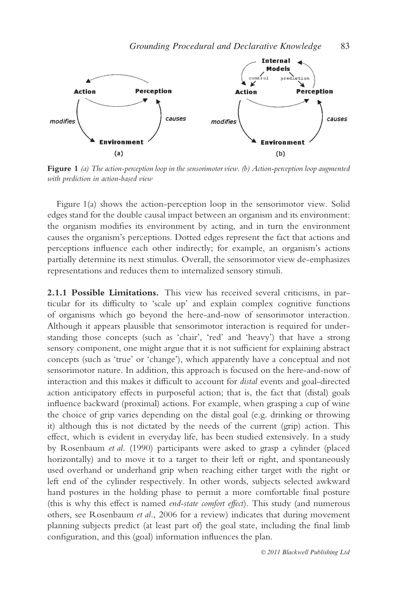

**Figure 1** *(a) The action-perception loop in the sensorimotor view. (b) Action-perception loop augmented with prediction in action-based view*

Figure 1(a) shows the action-perception loop in the sensorimotor view. Solid edges stand for the double causal impact between an organism and its environment: the organism modifies its environment by acting, and in turn the environment causes the organism's perceptions. Dotted edges represent the fact that actions and perceptions influence each other indirectly; for example, an organism's actions partially determine its next stimulus. Overall, the sensorimotor view de-emphasizes representations and reduces them to internalized sensory stimuli.

**2.1.1 Possible Limitations.** This view has received several criticisms, in particular for its difficulty to 'scale up' and explain complex cognitive functions of organisms which go beyond the here-and-now of sensorimotor interaction. Although it appears plausible that sensorimotor interaction is required for understanding those concepts (such as 'chair', 'red' and 'heavy') that have a strong sensory component, one might argue that it is not sufficient for explaining abstract concepts (such as 'true' or 'change'), which apparently have a conceptual and not sensorimotor nature. In addition, this approach is focused on the here-and-now of interaction and this makes it difficult to account for *distal* events and goal-directed action anticipatory effects in purposeful action; that is, the fact that (distal) goals influence backward (proximal) actions. For example, when grasping a cup of wine the choice of grip varies depending on the distal goal (e.g. drinking or throwing it) although this is not dictated by the needs of the current (grip) action. This effect, which is evident in everyday life, has been studied extensively. In a study by Rosenbaum *et al*. (1990) participants were asked to grasp a cylinder (placed horizontally) and to move it to a target to their left or right, and spontaneously used overhand or underhand grip when reaching either target with the right or left end of the cylinder respectively. In other words, subjects selected awkward hand postures in the holding phase to permit a more comfortable final posture (this is why this effect is named *end-state comfort effect*). This study (and numerous others, see Rosenbaum *et al*., 2006 for a review) indicates that during movement planning subjects predict (at least part of) the goal state, including the final limb configuration, and this (goal) information influences the plan.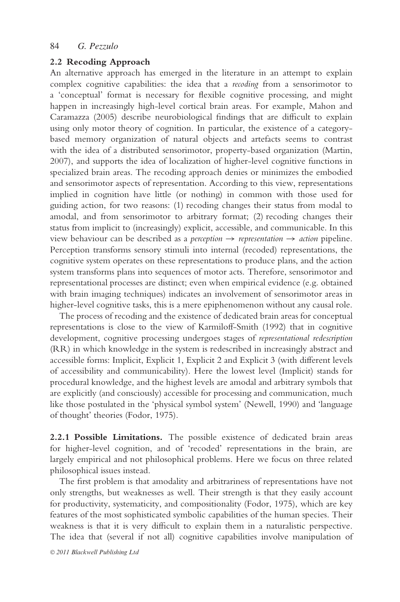## **2.2 Recoding Approach**

An alternative approach has emerged in the literature in an attempt to explain complex cognitive capabilities: the idea that a *recoding* from a sensorimotor to a 'conceptual' format is necessary for flexible cognitive processing, and might happen in increasingly high-level cortical brain areas. For example, Mahon and Caramazza (2005) describe neurobiological findings that are difficult to explain using only motor theory of cognition. In particular, the existence of a categorybased memory organization of natural objects and artefacts seems to contrast with the idea of a distributed sensorimotor, property-based organization (Martin, 2007), and supports the idea of localization of higher-level cognitive functions in specialized brain areas. The recoding approach denies or minimizes the embodied and sensorimotor aspects of representation. According to this view, representations implied in cognition have little (or nothing) in common with those used for guiding action, for two reasons: (1) recoding changes their status from modal to amodal, and from sensorimotor to arbitrary format; (2) recoding changes their status from implicit to (increasingly) explicit, accessible, and communicable. In this view behaviour can be described as a *perception*  $\rightarrow$  *representation*  $\rightarrow$  *action* pipeline. Perception transforms sensory stimuli into internal (recoded) representations, the cognitive system operates on these representations to produce plans, and the action system transforms plans into sequences of motor acts. Therefore, sensorimotor and representational processes are distinct; even when empirical evidence (e.g. obtained with brain imaging techniques) indicates an involvement of sensorimotor areas in higher-level cognitive tasks, this is a mere epiphenomenon without any causal role.

The process of recoding and the existence of dedicated brain areas for conceptual representations is close to the view of Karmiloff-Smith (1992) that in cognitive development, cognitive processing undergoes stages of *representational redescription* (RR) in which knowledge in the system is redescribed in increasingly abstract and accessible forms: Implicit, Explicit 1, Explicit 2 and Explicit 3 (with different levels of accessibility and communicability). Here the lowest level (Implicit) stands for procedural knowledge, and the highest levels are amodal and arbitrary symbols that are explicitly (and consciously) accessible for processing and communication, much like those postulated in the 'physical symbol system' (Newell, 1990) and 'language of thought' theories (Fodor, 1975).

**2.2.1 Possible Limitations.** The possible existence of dedicated brain areas for higher-level cognition, and of 'recoded' representations in the brain, are largely empirical and not philosophical problems. Here we focus on three related philosophical issues instead.

The first problem is that amodality and arbitrariness of representations have not only strengths, but weaknesses as well. Their strength is that they easily account for productivity, systematicity, and compositionality (Fodor, 1975), which are key features of the most sophisticated symbolic capabilities of the human species. Their weakness is that it is very difficult to explain them in a naturalistic perspective. The idea that (several if not all) cognitive capabilities involve manipulation of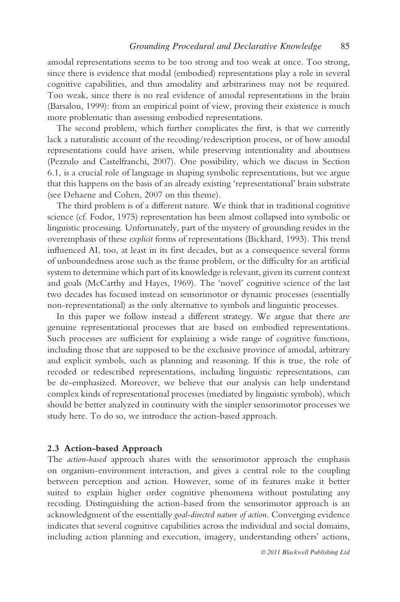amodal representations seems to be too strong and too weak at once. Too strong, since there is evidence that modal (embodied) representations play a role in several cognitive capabilities, and thus amodality and arbitrariness may not be required. Too weak, since there is no real evidence of amodal representations in the brain (Barsalou, 1999): from an empirical point of view, proving their existence is much more problematic than assessing embodied representations.

The second problem, which further complicates the first, is that we currently lack a naturalistic account of the recoding/redescription process, or of how amodal representations could have arisen, while preserving intentionality and aboutness (Pezzulo and Castelfranchi, 2007). One possibility, which we discuss in Section 6.1, is a crucial role of language in shaping symbolic representations, but we argue that this happens on the basis of an already existing 'representational' brain substrate (see Dehaene and Cohen, 2007 on this theme).

The third problem is of a different nature. We think that in traditional cognitive science (cf. Fodor, 1975) representation has been almost collapsed into symbolic or linguistic processing. Unfortunately, part of the mystery of grounding resides in the overemphasis of these *explicit* forms of representations (Bickhard, 1993). This trend influenced AI, too, at least in its first decades, but as a consequence several forms of unboundedness arose such as the frame problem, or the difficulty for an artificial system to determine which part of its knowledge is relevant, given its current context and goals (McCarthy and Hayes, 1969). The 'novel' cognitive science of the last two decades has focused instead on sensorimotor or dynamic processes (essentially non-representational) as the only alternative to symbols and linguistic processes.

In this paper we follow instead a different strategy. We argue that there are genuine representational processes that are based on embodied representations. Such processes are sufficient for explaining a wide range of cognitive functions, including those that are supposed to be the exclusive province of amodal, arbitrary and explicit symbols, such as planning and reasoning. If this is true, the role of recoded or redescribed representations, including linguistic representations, can be de-emphasized. Moreover, we believe that our analysis can help understand complex kinds of representational processes (mediated by linguistic symbols), which should be better analyzed in continuity with the simpler sensorimotor processes we study here. To do so, we introduce the action-based approach.

#### **2.3 Action-based Approach**

The *action-based* approach shares with the sensorimotor approach the emphasis on organism-environment interaction, and gives a central role to the coupling between perception and action. However, some of its features make it better suited to explain higher order cognitive phenomena without postulating any recoding. Distinguishing the action-based from the sensorimotor approach is an acknowledgment of the essentially *goal-directed nature of action*. Converging evidence indicates that several cognitive capabilities across the individual and social domains, including action planning and execution, imagery, understanding others' actions,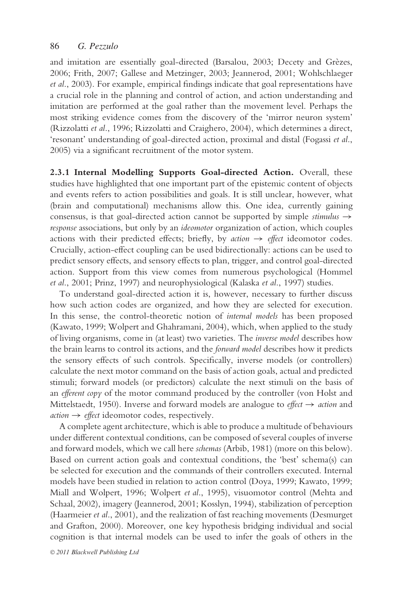and imitation are essentially goal-directed (Barsalou, 2003; Decety and Grèzes, 2006; Frith, 2007; Gallese and Metzinger, 2003; Jeannerod, 2001; Wohlschlaeger *et al*., 2003). For example, empirical findings indicate that goal representations have a crucial role in the planning and control of action, and action understanding and imitation are performed at the goal rather than the movement level. Perhaps the most striking evidence comes from the discovery of the 'mirror neuron system' (Rizzolatti *et al*., 1996; Rizzolatti and Craighero, 2004), which determines a direct, 'resonant' understanding of goal-directed action, proximal and distal (Fogassi *et al*., 2005) via a significant recruitment of the motor system.

**2.3.1 Internal Modelling Supports Goal-directed Action.** Overall, these studies have highlighted that one important part of the epistemic content of objects and events refers to action possibilities and goals. It is still unclear, however, what (brain and computational) mechanisms allow this. One idea, currently gaining consensus, is that goal-directed action cannot be supported by simple *stimulus* → *response* associations, but only by an *ideomotor* organization of action, which couples actions with their predicted effects; briefly, by  $action \rightarrow effect$  ideomotor codes. Crucially, action-effect coupling can be used bidirectionally: actions can be used to predict sensory effects, and sensory effects to plan, trigger, and control goal-directed action. Support from this view comes from numerous psychological (Hommel *et al*., 2001; Prinz, 1997) and neurophysiological (Kalaska *et al*., 1997) studies.

To understand goal-directed action it is, however, necessary to further discuss how such action codes are organized, and how they are selected for execution. In this sense, the control-theoretic notion of *internal models* has been proposed (Kawato, 1999; Wolpert and Ghahramani, 2004), which, when applied to the study of living organisms, come in (at least) two varieties. The *inverse model* describes how the brain learns to control its actions, and the *forward model* describes how it predicts the sensory effects of such controls. Specifically, inverse models (or controllers) calculate the next motor command on the basis of action goals, actual and predicted stimuli; forward models (or predictors) calculate the next stimuli on the basis of an *efferent copy* of the motor command produced by the controller (von Holst and Mittelstaedt, 1950). Inverse and forward models are analogue to *effect* → *action* and  $action \rightarrow effect\ ideomotor\ codes, respectively.$ 

A complete agent architecture, which is able to produce a multitude of behaviours under different contextual conditions, can be composed of several couples of inverse and forward models, which we call here *schemas* (Arbib, 1981) (more on this below). Based on current action goals and contextual conditions, the 'best' schema(s) can be selected for execution and the commands of their controllers executed. Internal models have been studied in relation to action control (Doya, 1999; Kawato, 1999; Miall and Wolpert, 1996; Wolpert *et al*., 1995), visuomotor control (Mehta and Schaal, 2002), imagery (Jeannerod, 2001; Kosslyn, 1994), stabilization of perception (Haarmeier *et al*., 2001), and the realization of fast reaching movements (Desmurget and Grafton, 2000). Moreover, one key hypothesis bridging individual and social cognition is that internal models can be used to infer the goals of others in the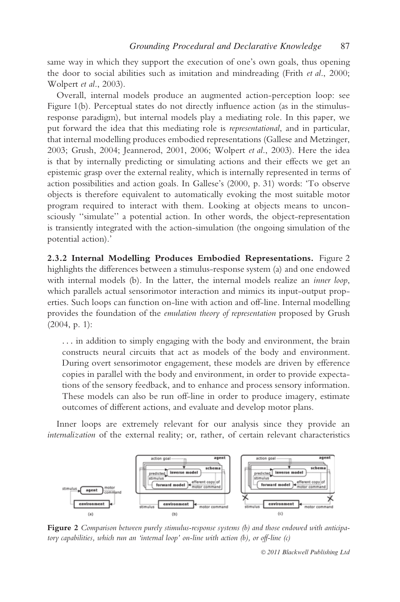same way in which they support the execution of one's own goals, thus opening the door to social abilities such as imitation and mindreading (Frith *et al*., 2000; Wolpert *et al*., 2003).

Overall, internal models produce an augmented action-perception loop: see Figure 1(b). Perceptual states do not directly influence action (as in the stimulusresponse paradigm), but internal models play a mediating role. In this paper, we put forward the idea that this mediating role is *representational*, and in particular, that internal modelling produces embodied representations (Gallese and Metzinger, 2003; Grush, 2004; Jeannerod, 2001, 2006; Wolpert *et al*., 2003). Here the idea is that by internally predicting or simulating actions and their effects we get an epistemic grasp over the external reality, which is internally represented in terms of action possibilities and action goals. In Gallese's (2000, p. 31) words: 'To observe objects is therefore equivalent to automatically evoking the most suitable motor program required to interact with them. Looking at objects means to unconsciously ''simulate'' a potential action. In other words, the object-representation is transiently integrated with the action-simulation (the ongoing simulation of the potential action).'

**2.3.2 Internal Modelling Produces Embodied Representations.** Figure 2 highlights the differences between a stimulus-response system (a) and one endowed with internal models (b). In the latter, the internal models realize an *inner loop*, which parallels actual sensorimotor interaction and mimics its input-output properties. Such loops can function on-line with action and off-line. Internal modelling provides the foundation of the *emulation theory of representation* proposed by Grush (2004, p. 1):

*...* in addition to simply engaging with the body and environment, the brain constructs neural circuits that act as models of the body and environment. During overt sensorimotor engagement, these models are driven by efference copies in parallel with the body and environment, in order to provide expectations of the sensory feedback, and to enhance and process sensory information. These models can also be run off-line in order to produce imagery, estimate outcomes of different actions, and evaluate and develop motor plans.

Inner loops are extremely relevant for our analysis since they provide an *internalization* of the external reality; or, rather, of certain relevant characteristics



**Figure 2** *Comparison between purely stimulus-response systems (b) and those endowed with anticipatory capabilities, which run an 'internal loop' on-line with action (b), or off-line (c)*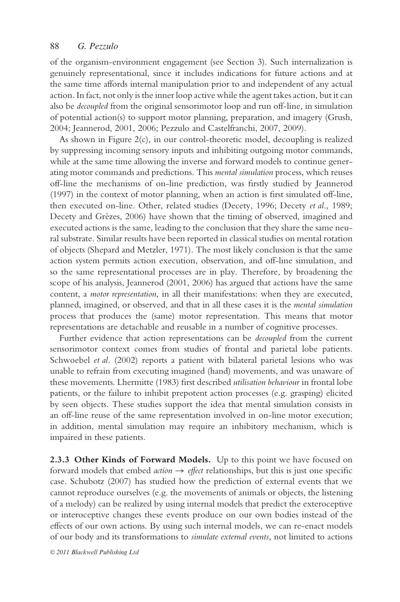of the organism-environment engagement (see Section 3). Such internalization is genuinely representational, since it includes indications for future actions and at the same time affords internal manipulation prior to and independent of any actual action. In fact, not only is the inner loop active while the agent takes action, but it can also be *decoupled* from the original sensorimotor loop and run off-line, in simulation of potential action(s) to support motor planning, preparation, and imagery (Grush, 2004; Jeannerod, 2001, 2006; Pezzulo and Castelfranchi, 2007, 2009).

As shown in Figure 2(c), in our control-theoretic model, decoupling is realized by suppressing incoming sensory inputs and inhibiting outgoing motor commands, while at the same time allowing the inverse and forward models to continue generating motor commands and predictions. This *mental simulation* process, which reuses off-line the mechanisms of on-line prediction, was firstly studied by Jeannerod (1997) in the context of motor planning, when an action is first simulated off-line, then executed on-line. Other, related studies (Decety, 1996; Decety *et al*., 1989; Decety and Grèzes, 2006) have shown that the timing of observed, imagined and executed actions is the same, leading to the conclusion that they share the same neural substrate. Similar results have been reported in classical studies on mental rotation of objects (Shepard and Metzler, 1971). The most likely conclusion is that the same action system permits action execution, observation, and off-line simulation, and so the same representational processes are in play. Therefore, by broadening the scope of his analysis, Jeannerod (2001, 2006) has argued that actions have the same content, a *motor representation*, in all their manifestations: when they are executed, planned, imagined, or observed, and that in all these cases it is the *mental simulation* process that produces the (same) motor representation. This means that motor representations are detachable and reusable in a number of cognitive processes.

Further evidence that action representations can be *decoupled* from the current sensorimotor context comes from studies of frontal and parietal lobe patients. Schwoebel *et al*. (2002) reports a patient with bilateral parietal lesions who was unable to refrain from executing imagined (hand) movements, and was unaware of these movements. Lhermitte (1983) first described *utilisation behaviour* in frontal lobe patients, or the failure to inhibit prepotent action processes (e.g. grasping) elicited by seen objects. These studies support the idea that mental simulation consists in an off-line reuse of the same representation involved in on-line motor execution; in addition, mental simulation may require an inhibitory mechanism, which is impaired in these patients.

**2.3.3 Other Kinds of Forward Models.** Up to this point we have focused on forward models that embed  $action \rightarrow effect$  relationships, but this is just one specific case. Schubotz (2007) has studied how the prediction of external events that we cannot reproduce ourselves (e.g. the movements of animals or objects, the listening of a melody) can be realized by using internal models that predict the exteroceptive or interoceptive changes these events produce on our own bodies instead of the effects of our own actions. By using such internal models, we can re-enact models of our body and its transformations to *simulate external events*, not limited to actions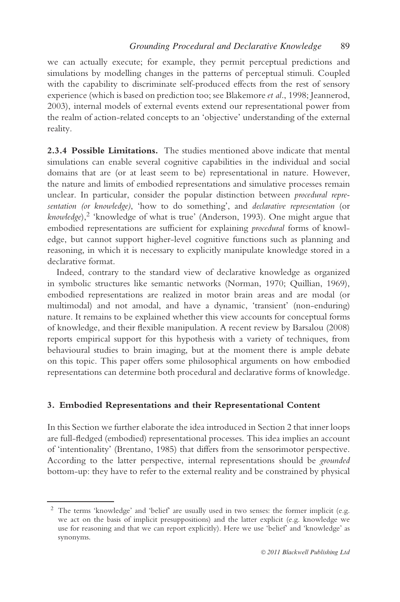we can actually execute; for example, they permit perceptual predictions and simulations by modelling changes in the patterns of perceptual stimuli. Coupled with the capability to discriminate self-produced effects from the rest of sensory experience (which is based on prediction too; see Blakemore *et al*., 1998; Jeannerod, 2003), internal models of external events extend our representational power from the realm of action-related concepts to an 'objective' understanding of the external reality.

**2.3.4 Possible Limitations.** The studies mentioned above indicate that mental simulations can enable several cognitive capabilities in the individual and social domains that are (or at least seem to be) representational in nature. However, the nature and limits of embodied representations and simulative processes remain unclear. In particular, consider the popular distinction between *procedural representation (or knowledge)*, 'how to do something', and *declarative representation* (or *knowledge*),<sup>2</sup> 'knowledge of what is true' (Anderson, 1993). One might argue that embodied representations are sufficient for explaining *procedural* forms of knowledge, but cannot support higher-level cognitive functions such as planning and reasoning, in which it is necessary to explicitly manipulate knowledge stored in a declarative format.

Indeed, contrary to the standard view of declarative knowledge as organized in symbolic structures like semantic networks (Norman, 1970; Quillian, 1969), embodied representations are realized in motor brain areas and are modal (or multimodal) and not amodal, and have a dynamic, 'transient' (non-enduring) nature. It remains to be explained whether this view accounts for conceptual forms of knowledge, and their flexible manipulation. A recent review by Barsalou (2008) reports empirical support for this hypothesis with a variety of techniques, from behavioural studies to brain imaging, but at the moment there is ample debate on this topic. This paper offers some philosophical arguments on how embodied representations can determine both procedural and declarative forms of knowledge.

#### **3. Embodied Representations and their Representational Content**

In this Section we further elaborate the idea introduced in Section 2 that inner loops are full-fledged (embodied) representational processes. This idea implies an account of 'intentionality' (Brentano, 1985) that differs from the sensorimotor perspective. According to the latter perspective, internal representations should be *grounded* bottom-up: they have to refer to the external reality and be constrained by physical

<sup>&</sup>lt;sup>2</sup> The terms 'knowledge' and 'belief' are usually used in two senses: the former implicit (e.g. we act on the basis of implicit presuppositions) and the latter explicit (e.g. knowledge we use for reasoning and that we can report explicitly). Here we use 'belief' and 'knowledge' as synonyms.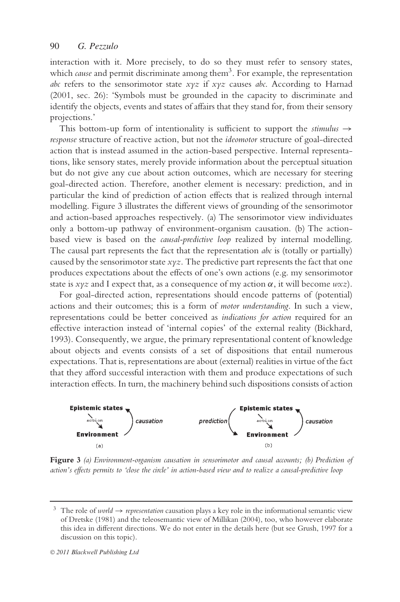interaction with it. More precisely, to do so they must refer to sensory states, which *cause* and permit discriminate among them<sup>3</sup>. For example, the representation *abc* refers to the sensorimotor state *xyz* if *xyz* causes *abc*. According to Harnad (2001, sec. 26): 'Symbols must be grounded in the capacity to discriminate and identify the objects, events and states of affairs that they stand for, from their sensory projections.'

This bottom-up form of intentionality is sufficient to support the *stimulus*  $\rightarrow$ *response* structure of reactive action, but not the *ideomotor* structure of goal-directed action that is instead assumed in the action-based perspective. Internal representations, like sensory states, merely provide information about the perceptual situation but do not give any cue about action outcomes, which are necessary for steering goal-directed action. Therefore, another element is necessary: prediction, and in particular the kind of prediction of action effects that is realized through internal modelling. Figure 3 illustrates the different views of grounding of the sensorimotor and action-based approaches respectively. (a) The sensorimotor view individuates only a bottom-up pathway of environment-organism causation. (b) The actionbased view is based on the *causal-predictive loop* realized by internal modelling. The causal part represents the fact that the representation *abc* is (totally or partially) caused by the sensorimotor state *xyz*. The predictive part represents the fact that one produces expectations about the effects of one's own actions (e.g. my sensorimotor state is *xyz* and I expect that, as a consequence of my action *α*, it will become *wxz*).

For goal-directed action, representations should encode patterns of (potential) actions and their outcomes; this is a form of *motor understanding*. In such a view, representations could be better conceived as *indications for action* required for an effective interaction instead of 'internal copies' of the external reality (Bickhard, 1993). Consequently, we argue, the primary representational content of knowledge about objects and events consists of a set of dispositions that entail numerous expectations. That is, representations are about (external) realities in virtue of the fact that they afford successful interaction with them and produce expectations of such interaction effects. In turn, the machinery behind such dispositions consists of action



**Figure 3** *(a) Environment-organism causation in sensorimotor and causal accounts; (b) Prediction of action's effects permits to 'close the circle' in action-based view and to realize a causal-predictive loop*

<sup>&</sup>lt;sup>3</sup> The role of *world*  $\rightarrow$  *representation* causation plays a key role in the informational semantic view of Dretske (1981) and the teleosemantic view of Millikan (2004), too, who however elaborate this idea in different directions. We do not enter in the details here (but see Grush, 1997 for a discussion on this topic).

<sup>©</sup> *2011 Blackwell Publishing Ltd*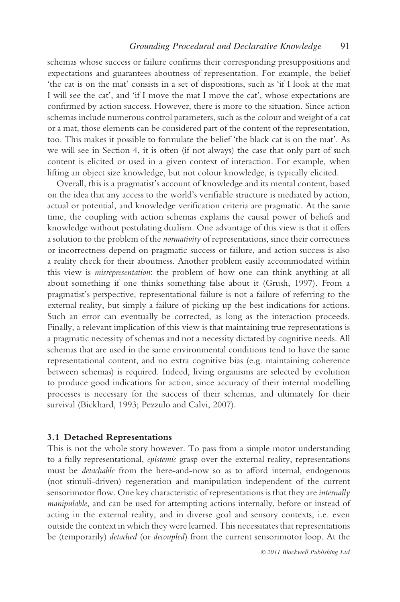schemas whose success or failure confirms their corresponding presuppositions and expectations and guarantees aboutness of representation. For example, the belief 'the cat is on the mat' consists in a set of dispositions, such as 'if I look at the mat I will see the cat', and 'if I move the mat I move the cat', whose expectations are confirmed by action success. However, there is more to the situation. Since action schemas include numerous control parameters, such as the colour and weight of a cat or a mat, those elements can be considered part of the content of the representation, too. This makes it possible to formulate the belief 'the black cat is on the mat'. As we will see in Section 4, it is often (if not always) the case that only part of such content is elicited or used in a given context of interaction. For example, when lifting an object size knowledge, but not colour knowledge, is typically elicited.

Overall, this is a pragmatist's account of knowledge and its mental content, based on the idea that any access to the world's verifiable structure is mediated by action, actual or potential, and knowledge verification criteria are pragmatic. At the same time, the coupling with action schemas explains the causal power of beliefs and knowledge without postulating dualism. One advantage of this view is that it offers a solution to the problem of the *normativity* of representations, since their correctness or incorrectness depend on pragmatic success or failure, and action success is also a reality check for their aboutness. Another problem easily accommodated within this view is *misrepresentation*: the problem of how one can think anything at all about something if one thinks something false about it (Grush, 1997). From a pragmatist's perspective, representational failure is not a failure of referring to the external reality, but simply a failure of picking up the best indications for actions. Such an error can eventually be corrected, as long as the interaction proceeds. Finally, a relevant implication of this view is that maintaining true representations is a pragmatic necessity of schemas and not a necessity dictated by cognitive needs. All schemas that are used in the same environmental conditions tend to have the same representational content, and no extra cognitive bias (e.g. maintaining coherence between schemas) is required. Indeed, living organisms are selected by evolution to produce good indications for action, since accuracy of their internal modelling processes is necessary for the success of their schemas, and ultimately for their survival (Bickhard, 1993; Pezzulo and Calvi, 2007).

#### **3.1 Detached Representations**

This is not the whole story however. To pass from a simple motor understanding to a fully representational, *epistemic* grasp over the external reality, representations must be *detachable* from the here-and-now so as to afford internal, endogenous (not stimuli-driven) regeneration and manipulation independent of the current sensorimotor flow. One key characteristic of representations is that they are *internally manipulable*, and can be used for attempting actions internally, before or instead of acting in the external reality, and in diverse goal and sensory contexts, i.e. even outside the context in which they were learned. This necessitates that representations be (temporarily) *detached* (or *decoupled*) from the current sensorimotor loop. At the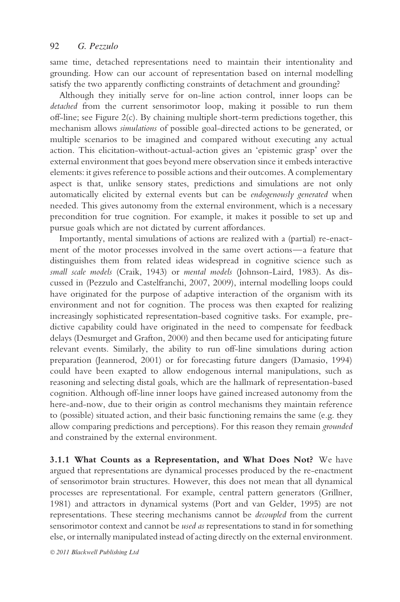same time, detached representations need to maintain their intentionality and grounding. How can our account of representation based on internal modelling satisfy the two apparently conflicting constraints of detachment and grounding?

Although they initially serve for on-line action control, inner loops can be *detached* from the current sensorimotor loop, making it possible to run them off-line; see Figure  $2(c)$ . By chaining multiple short-term predictions together, this mechanism allows *simulations* of possible goal-directed actions to be generated, or multiple scenarios to be imagined and compared without executing any actual action. This elicitation-without-actual-action gives an 'epistemic grasp' over the external environment that goes beyond mere observation since it embeds interactive elements: it gives reference to possible actions and their outcomes. A complementary aspect is that, unlike sensory states, predictions and simulations are not only automatically elicited by external events but can be *endogenously generated* when needed. This gives autonomy from the external environment, which is a necessary precondition for true cognition. For example, it makes it possible to set up and pursue goals which are not dictated by current affordances.

Importantly, mental simulations of actions are realized with a (partial) re-enactment of the motor processes involved in the same overt actions—a feature that distinguishes them from related ideas widespread in cognitive science such as *small scale models* (Craik, 1943) or *mental models* (Johnson-Laird, 1983). As discussed in (Pezzulo and Castelfranchi, 2007, 2009), internal modelling loops could have originated for the purpose of adaptive interaction of the organism with its environment and not for cognition. The process was then exapted for realizing increasingly sophisticated representation-based cognitive tasks. For example, predictive capability could have originated in the need to compensate for feedback delays (Desmurget and Grafton, 2000) and then became used for anticipating future relevant events. Similarly, the ability to run off-line simulations during action preparation (Jeannerod, 2001) or for forecasting future dangers (Damasio, 1994) could have been exapted to allow endogenous internal manipulations, such as reasoning and selecting distal goals, which are the hallmark of representation-based cognition. Although off-line inner loops have gained increased autonomy from the here-and-now, due to their origin as control mechanisms they maintain reference to (possible) situated action, and their basic functioning remains the same (e.g. they allow comparing predictions and perceptions). For this reason they remain *grounded* and constrained by the external environment.

**3.1.1 What Counts as a Representation, and What Does Not?** We have argued that representations are dynamical processes produced by the re-enactment of sensorimotor brain structures. However, this does not mean that all dynamical processes are representational. For example, central pattern generators (Grillner, 1981) and attractors in dynamical systems (Port and van Gelder, 1995) are not representations. These steering mechanisms cannot be *decoupled* from the current sensorimotor context and cannot be *used as* representations to stand in for something else, or internally manipulated instead of acting directly on the external environment.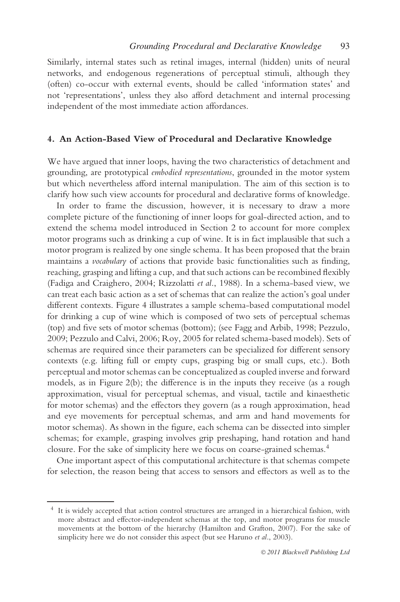Similarly, internal states such as retinal images, internal (hidden) units of neural networks, and endogenous regenerations of perceptual stimuli, although they (often) co-occur with external events, should be called 'information states' and not 'representations', unless they also afford detachment and internal processing independent of the most immediate action affordances.

# **4. An Action-Based View of Procedural and Declarative Knowledge**

We have argued that inner loops, having the two characteristics of detachment and grounding, are prototypical *embodied representations*, grounded in the motor system but which nevertheless afford internal manipulation. The aim of this section is to clarify how such view accounts for procedural and declarative forms of knowledge.

In order to frame the discussion, however, it is necessary to draw a more complete picture of the functioning of inner loops for goal-directed action, and to extend the schema model introduced in Section 2 to account for more complex motor programs such as drinking a cup of wine. It is in fact implausible that such a motor program is realized by one single schema. It has been proposed that the brain maintains a *vocabulary* of actions that provide basic functionalities such as finding, reaching, grasping and lifting a cup, and that such actions can be recombined flexibly (Fadiga and Craighero, 2004; Rizzolatti *et al*., 1988). In a schema-based view, we can treat each basic action as a set of schemas that can realize the action's goal under different contexts. Figure 4 illustrates a sample schema-based computational model for drinking a cup of wine which is composed of two sets of perceptual schemas (top) and five sets of motor schemas (bottom); (see Fagg and Arbib, 1998; Pezzulo, 2009; Pezzulo and Calvi, 2006; Roy, 2005 for related schema-based models). Sets of schemas are required since their parameters can be specialized for different sensory contexts (e.g. lifting full or empty cups, grasping big or small cups, etc.). Both perceptual and motor schemas can be conceptualized as coupled inverse and forward models, as in Figure 2(b); the difference is in the inputs they receive (as a rough approximation, visual for perceptual schemas, and visual, tactile and kinaesthetic for motor schemas) and the effectors they govern (as a rough approximation, head and eye movements for perceptual schemas, and arm and hand movements for motor schemas). As shown in the figure, each schema can be dissected into simpler schemas; for example, grasping involves grip preshaping, hand rotation and hand closure. For the sake of simplicity here we focus on coarse-grained schemas.4

One important aspect of this computational architecture is that schemas compete for selection, the reason being that access to sensors and effectors as well as to the

<sup>4</sup> It is widely accepted that action control structures are arranged in a hierarchical fashion, with more abstract and effector-independent schemas at the top, and motor programs for muscle movements at the bottom of the hierarchy (Hamilton and Grafton, 2007). For the sake of simplicity here we do not consider this aspect (but see Haruno *et al*., 2003).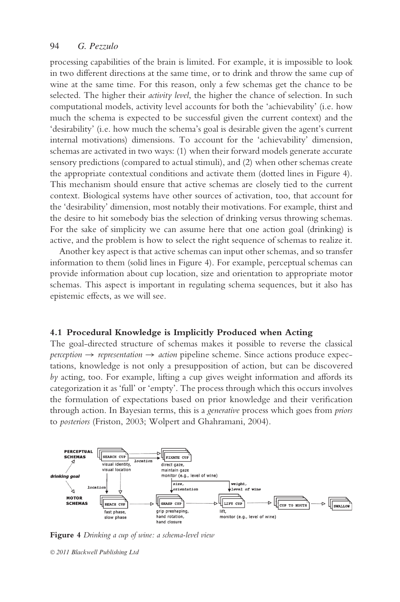processing capabilities of the brain is limited. For example, it is impossible to look in two different directions at the same time, or to drink and throw the same cup of wine at the same time. For this reason, only a few schemas get the chance to be selected. The higher their *activity level*, the higher the chance of selection. In such computational models, activity level accounts for both the 'achievability' (i.e. how much the schema is expected to be successful given the current context) and the 'desirability' (i.e. how much the schema's goal is desirable given the agent's current internal motivations) dimensions. To account for the 'achievability' dimension, schemas are activated in two ways: (1) when their forward models generate accurate sensory predictions (compared to actual stimuli), and (2) when other schemas create the appropriate contextual conditions and activate them (dotted lines in Figure 4). This mechanism should ensure that active schemas are closely tied to the current context. Biological systems have other sources of activation, too, that account for the 'desirability' dimension, most notably their motivations. For example, thirst and the desire to hit somebody bias the selection of drinking versus throwing schemas. For the sake of simplicity we can assume here that one action goal (drinking) is active, and the problem is how to select the right sequence of schemas to realize it.

Another key aspect is that active schemas can input other schemas, and so transfer information to them (solid lines in Figure 4). For example, perceptual schemas can provide information about cup location, size and orientation to appropriate motor schemas. This aspect is important in regulating schema sequences, but it also has epistemic effects, as we will see.

### **4.1 Procedural Knowledge is Implicitly Produced when Acting**

The goal-directed structure of schemas makes it possible to reverse the classical *perception*  $\rightarrow$  *representation*  $\rightarrow$  *action* pipeline scheme. Since actions produce expectations, knowledge is not only a presupposition of action, but can be discovered *by* acting, too. For example, lifting a cup gives weight information and affords its categorization it as 'full' or 'empty'. The process through which this occurs involves the formulation of expectations based on prior knowledge and their verification through action. In Bayesian terms, this is a *generative* process which goes from *priors* to *posteriors* (Friston, 2003; Wolpert and Ghahramani, 2004).



**Figure 4** *Drinking a cup of wine: a schema-level view*

© *2011 Blackwell Publishing Ltd*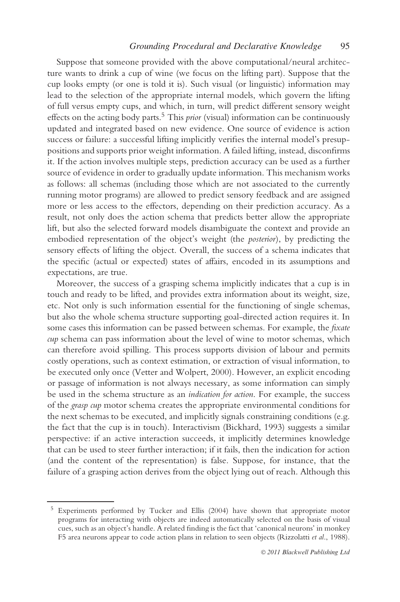Suppose that someone provided with the above computational/neural architecture wants to drink a cup of wine (we focus on the lifting part). Suppose that the cup looks empty (or one is told it is). Such visual (or linguistic) information may lead to the selection of the appropriate internal models, which govern the lifting of full versus empty cups, and which, in turn, will predict different sensory weight effects on the acting body parts.<sup>5</sup> This *prior* (visual) information can be continuously updated and integrated based on new evidence. One source of evidence is action success or failure: a successful lifting implicitly verifies the internal model's presuppositions and supports prior weight information. A failed lifting, instead, disconfirms it. If the action involves multiple steps, prediction accuracy can be used as a further source of evidence in order to gradually update information. This mechanism works as follows: all schemas (including those which are not associated to the currently running motor programs) are allowed to predict sensory feedback and are assigned more or less access to the effectors, depending on their prediction accuracy. As a result, not only does the action schema that predicts better allow the appropriate lift, but also the selected forward models disambiguate the context and provide an embodied representation of the object's weight (the *posterior*), by predicting the sensory effects of lifting the object. Overall, the success of a schema indicates that the specific (actual or expected) states of affairs, encoded in its assumptions and expectations, are true.

Moreover, the success of a grasping schema implicitly indicates that a cup is in touch and ready to be lifted, and provides extra information about its weight, size, etc. Not only is such information essential for the functioning of single schemas, but also the whole schema structure supporting goal-directed action requires it. In some cases this information can be passed between schemas. For example, the *fixate cup* schema can pass information about the level of wine to motor schemas, which can therefore avoid spilling. This process supports division of labour and permits costly operations, such as context estimation, or extraction of visual information, to be executed only once (Vetter and Wolpert, 2000). However, an explicit encoding or passage of information is not always necessary, as some information can simply be used in the schema structure as an *indication for action*. For example, the success of the *grasp cup* motor schema creates the appropriate environmental conditions for the next schemas to be executed, and implicitly signals constraining conditions (e.g. the fact that the cup is in touch). Interactivism (Bickhard, 1993) suggests a similar perspective: if an active interaction succeeds, it implicitly determines knowledge that can be used to steer further interaction; if it fails, then the indication for action (and the content of the representation) is false. Suppose, for instance, that the failure of a grasping action derives from the object lying out of reach. Although this

<sup>5</sup> Experiments performed by Tucker and Ellis (2004) have shown that appropriate motor programs for interacting with objects are indeed automatically selected on the basis of visual cues, such as an object's handle. A related finding is the fact that 'canonical neurons' in monkey F5 area neurons appear to code action plans in relation to seen objects (Rizzolatti *et al*., 1988).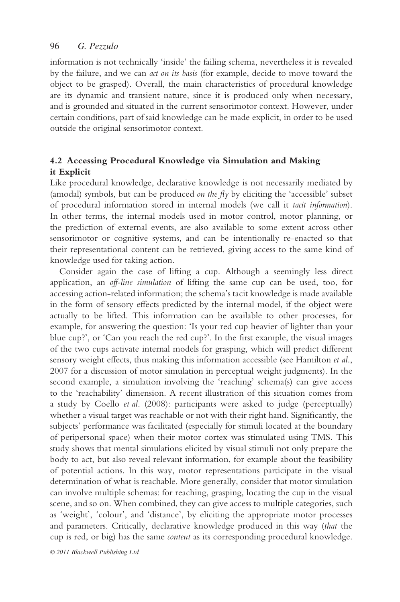information is not technically 'inside' the failing schema, nevertheless it is revealed by the failure, and we can *act on its basis* (for example, decide to move toward the object to be grasped). Overall, the main characteristics of procedural knowledge are its dynamic and transient nature, since it is produced only when necessary, and is grounded and situated in the current sensorimotor context. However, under certain conditions, part of said knowledge can be made explicit, in order to be used outside the original sensorimotor context.

# **4.2 Accessing Procedural Knowledge via Simulation and Making it Explicit**

Like procedural knowledge, declarative knowledge is not necessarily mediated by (amodal) symbols, but can be produced *on the fly* by eliciting the 'accessible' subset of procedural information stored in internal models (we call it *tacit information*). In other terms, the internal models used in motor control, motor planning, or the prediction of external events, are also available to some extent across other sensorimotor or cognitive systems, and can be intentionally re-enacted so that their representational content can be retrieved, giving access to the same kind of knowledge used for taking action.

Consider again the case of lifting a cup. Although a seemingly less direct application, an *off-line simulation* of lifting the same cup can be used, too, for accessing action-related information; the schema's tacit knowledge is made available in the form of sensory effects predicted by the internal model, if the object were actually to be lifted. This information can be available to other processes, for example, for answering the question: 'Is your red cup heavier of lighter than your blue cup?', or 'Can you reach the red cup?'. In the first example, the visual images of the two cups activate internal models for grasping, which will predict different sensory weight effects, thus making this information accessible (see Hamilton *et al*., 2007 for a discussion of motor simulation in perceptual weight judgments). In the second example, a simulation involving the 'reaching' schema(s) can give access to the 'reachability' dimension. A recent illustration of this situation comes from a study by Coello *et al*. (2008): participants were asked to judge (perceptually) whether a visual target was reachable or not with their right hand. Significantly, the subjects' performance was facilitated (especially for stimuli located at the boundary of peripersonal space) when their motor cortex was stimulated using TMS. This study shows that mental simulations elicited by visual stimuli not only prepare the body to act, but also reveal relevant information, for example about the feasibility of potential actions. In this way, motor representations participate in the visual determination of what is reachable. More generally, consider that motor simulation can involve multiple schemas: for reaching, grasping, locating the cup in the visual scene, and so on. When combined, they can give access to multiple categories, such as 'weight', 'colour', and 'distance', by eliciting the appropriate motor processes and parameters. Critically, declarative knowledge produced in this way (*that* the cup is red, or big) has the same *content* as its corresponding procedural knowledge.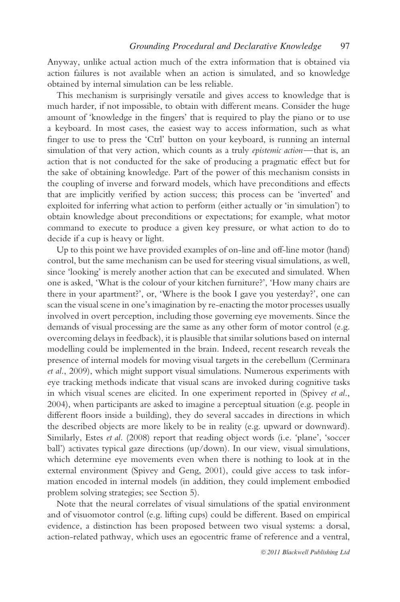Anyway, unlike actual action much of the extra information that is obtained via action failures is not available when an action is simulated, and so knowledge obtained by internal simulation can be less reliable.

This mechanism is surprisingly versatile and gives access to knowledge that is much harder, if not impossible, to obtain with different means. Consider the huge amount of 'knowledge in the fingers' that is required to play the piano or to use a keyboard. In most cases, the easiest way to access information, such as what finger to use to press the 'Ctrl' button on your keyboard, is running an internal simulation of that very action, which counts as a truly *epistemic action*—that is, an action that is not conducted for the sake of producing a pragmatic effect but for the sake of obtaining knowledge. Part of the power of this mechanism consists in the coupling of inverse and forward models, which have preconditions and effects that are implicitly verified by action success; this process can be 'inverted' and exploited for inferring what action to perform (either actually or 'in simulation') to obtain knowledge about preconditions or expectations; for example, what motor command to execute to produce a given key pressure, or what action to do to decide if a cup is heavy or light.

Up to this point we have provided examples of on-line and off-line motor (hand) control, but the same mechanism can be used for steering visual simulations, as well, since 'looking' is merely another action that can be executed and simulated. When one is asked, 'What is the colour of your kitchen furniture?', 'How many chairs are there in your apartment?', or, 'Where is the book I gave you yesterday?', one can scan the visual scene in one's imagination by re-enacting the motor processes usually involved in overt perception, including those governing eye movements. Since the demands of visual processing are the same as any other form of motor control (e.g. overcoming delays in feedback), it is plausible that similar solutions based on internal modelling could be implemented in the brain. Indeed, recent research reveals the presence of internal models for moving visual targets in the cerebellum (Cerminara *et al*., 2009), which might support visual simulations. Numerous experiments with eye tracking methods indicate that visual scans are invoked during cognitive tasks in which visual scenes are elicited. In one experiment reported in (Spivey *et al*., 2004), when participants are asked to imagine a perceptual situation (e.g. people in different floors inside a building), they do several saccades in directions in which the described objects are more likely to be in reality (e.g. upward or downward). Similarly, Estes *et al.* (2008) report that reading object words (i.e. 'plane', 'soccer ball') activates typical gaze directions (up/down). In our view, visual simulations, which determine eye movements even when there is nothing to look at in the external environment (Spivey and Geng, 2001), could give access to task information encoded in internal models (in addition, they could implement embodied problem solving strategies; see Section 5).

Note that the neural correlates of visual simulations of the spatial environment and of visuomotor control (e.g. lifting cups) could be different. Based on empirical evidence, a distinction has been proposed between two visual systems: a dorsal, action-related pathway, which uses an egocentric frame of reference and a ventral,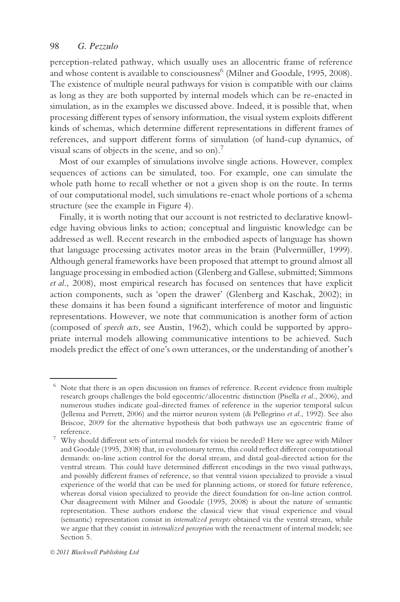perception-related pathway, which usually uses an allocentric frame of reference and whose content is available to consciousness<sup>6</sup> (Milner and Goodale, 1995, 2008). The existence of multiple neural pathways for vision is compatible with our claims as long as they are both supported by internal models which can be re-enacted in simulation, as in the examples we discussed above. Indeed, it is possible that, when processing different types of sensory information, the visual system exploits different kinds of schemas, which determine different representations in different frames of references, and support different forms of simulation (of hand-cup dynamics, of visual scans of objects in the scene, and so on).<sup>7</sup>

Most of our examples of simulations involve single actions. However, complex sequences of actions can be simulated, too. For example, one can simulate the whole path home to recall whether or not a given shop is on the route. In terms of our computational model, such simulations re-enact whole portions of a schema structure (see the example in Figure 4).

Finally, it is worth noting that our account is not restricted to declarative knowledge having obvious links to action; conceptual and linguistic knowledge can be addressed as well. Recent research in the embodied aspects of language has shown that language processing activates motor areas in the brain (Pulvermüller, 1999). Although general frameworks have been proposed that attempt to ground almost all language processing in embodied action (Glenberg and Gallese, submitted; Simmons *et al*., 2008), most empirical research has focused on sentences that have explicit action components, such as 'open the drawer' (Glenberg and Kaschak, 2002); in these domains it has been found a significant interference of motor and linguistic representations. However, we note that communication is another form of action (composed of *speech acts*, see Austin, 1962), which could be supported by appropriate internal models allowing communicative intentions to be achieved. Such models predict the effect of one's own utterances, or the understanding of another's

<sup>6</sup> Note that there is an open discussion on frames of reference. Recent evidence from multiple research groups challenges the bold egocentric/allocentric distinction (Pisella *et al*., 2006), and numerous studies indicate goal-directed frames of reference in the superior temporal sulcus (Jellema and Perrett, 2006) and the mirror neuron system (di Pellegrino *et al*., 1992). See also Briscoe, 2009 for the alternative hypothesis that both pathways use an egocentric frame of

reference. The should different sets of internal models for vision be needed? Here we agree with Milner and Goodale (1995, 2008) that, in evolutionary terms, this could reflect different computational demands: on-line action control for the dorsal stream, and distal goal-directed action for the ventral stream. This could have determined different encodings in the two visual pathways, and possibly different frames of reference, so that ventral vision specialized to provide a visual experience of the world that can be used for planning actions, or stored for future reference, whereas dorsal vision specialized to provide the direct foundation for on-line action control. Our disagreement with Milner and Goodale (1995, 2008) is about the nature of semantic representation. These authors endorse the classical view that visual experience and visual (semantic) representation consist in *internalized percepts* obtained via the ventral stream, while we argue that they consist in *internalized perception* with the reenactment of internal models; see Section 5.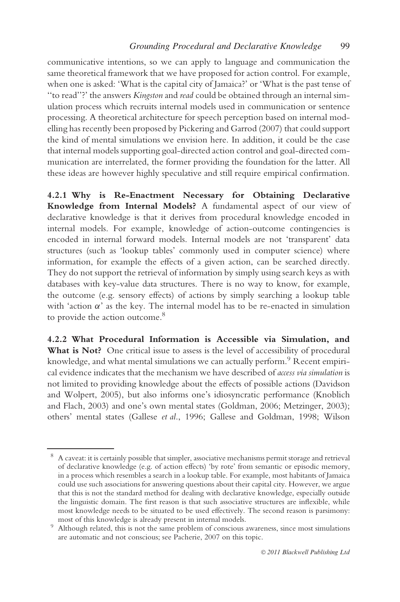communicative intentions, so we can apply to language and communication the same theoretical framework that we have proposed for action control. For example, when one is asked: 'What is the capital city of Jamaica?' or 'What is the past tense of ''to read''?' the answers *Kingston* and *read* could be obtained through an internal simulation process which recruits internal models used in communication or sentence processing. A theoretical architecture for speech perception based on internal modelling has recently been proposed by Pickering and Garrod (2007) that could support the kind of mental simulations we envision here. In addition, it could be the case that internal models supporting goal-directed action control and goal-directed communication are interrelated, the former providing the foundation for the latter. All these ideas are however highly speculative and still require empirical confirmation.

**4.2.1 Why is Re-Enactment Necessary for Obtaining Declarative Knowledge from Internal Models?** A fundamental aspect of our view of declarative knowledge is that it derives from procedural knowledge encoded in internal models. For example, knowledge of action-outcome contingencies is encoded in internal forward models. Internal models are not 'transparent' data structures (such as 'lookup tables' commonly used in computer science) where information, for example the effects of a given action, can be searched directly. They do not support the retrieval of information by simply using search keys as with databases with key-value data structures. There is no way to know, for example, the outcome (e.g. sensory effects) of actions by simply searching a lookup table with 'action  $\alpha$ ' as the key. The internal model has to be re-enacted in simulation to provide the action outcome.<sup>8</sup>

**4.2.2 What Procedural Information is Accessible via Simulation, and** What is Not? One critical issue to assess is the level of accessibility of procedural knowledge, and what mental simulations we can actually perform.<sup>9</sup> Recent empirical evidence indicates that the mechanism we have described of *access via simulation* is not limited to providing knowledge about the effects of possible actions (Davidson and Wolpert, 2005), but also informs one's idiosyncratic performance (Knoblich and Flach, 2003) and one's own mental states (Goldman, 2006; Metzinger, 2003); others' mental states (Gallese *et al*., 1996; Gallese and Goldman, 1998; Wilson

<sup>8</sup> A caveat: it is certainly possible that simpler, associative mechanisms permit storage and retrieval of declarative knowledge (e.g. of action effects) 'by rote' from semantic or episodic memory, in a process which resembles a search in a lookup table. For example, most habitants of Jamaica could use such associations for answering questions about their capital city. However, we argue that this is not the standard method for dealing with declarative knowledge, especially outside the linguistic domain. The first reason is that such associative structures are inflexible, while most knowledge needs to be situated to be used effectively. The second reason is parsimony:

<sup>&</sup>lt;sup>9</sup> Although related, this is not the same problem of conscious awareness, since most simulations are automatic and not conscious; see Pacherie, 2007 on this topic.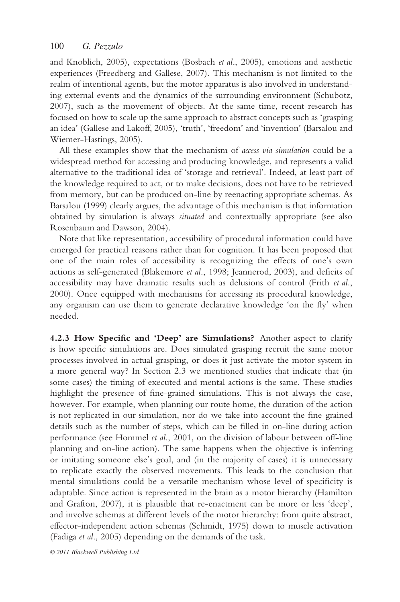and Knoblich, 2005), expectations (Bosbach *et al*., 2005), emotions and aesthetic experiences (Freedberg and Gallese, 2007). This mechanism is not limited to the realm of intentional agents, but the motor apparatus is also involved in understanding external events and the dynamics of the surrounding environment (Schubotz, 2007), such as the movement of objects. At the same time, recent research has focused on how to scale up the same approach to abstract concepts such as 'grasping an idea' (Gallese and Lakoff, 2005), 'truth', 'freedom' and 'invention' (Barsalou and Wiemer-Hastings, 2005).

All these examples show that the mechanism of *access via simulation* could be a widespread method for accessing and producing knowledge, and represents a valid alternative to the traditional idea of 'storage and retrieval'. Indeed, at least part of the knowledge required to act, or to make decisions, does not have to be retrieved from memory, but can be produced on-line by reenacting appropriate schemas. As Barsalou (1999) clearly argues, the advantage of this mechanism is that information obtained by simulation is always *situated* and contextually appropriate (see also Rosenbaum and Dawson, 2004).

Note that like representation, accessibility of procedural information could have emerged for practical reasons rather than for cognition. It has been proposed that one of the main roles of accessibility is recognizing the effects of one's own actions as self-generated (Blakemore *et al*., 1998; Jeannerod, 2003), and deficits of accessibility may have dramatic results such as delusions of control (Frith *et al*., 2000). Once equipped with mechanisms for accessing its procedural knowledge, any organism can use them to generate declarative knowledge 'on the fly' when needed.

**4.2.3 How Specific and 'Deep' are Simulations?** Another aspect to clarify is how specific simulations are. Does simulated grasping recruit the same motor processes involved in actual grasping, or does it just activate the motor system in a more general way? In Section 2.3 we mentioned studies that indicate that (in some cases) the timing of executed and mental actions is the same. These studies highlight the presence of fine-grained simulations. This is not always the case, however. For example, when planning our route home, the duration of the action is not replicated in our simulation, nor do we take into account the fine-grained details such as the number of steps, which can be filled in on-line during action performance (see Hommel *et al*., 2001, on the division of labour between off-line planning and on-line action). The same happens when the objective is inferring or imitating someone else's goal, and (in the majority of cases) it is unnecessary to replicate exactly the observed movements. This leads to the conclusion that mental simulations could be a versatile mechanism whose level of specificity is adaptable. Since action is represented in the brain as a motor hierarchy (Hamilton and Grafton, 2007), it is plausible that re-enactment can be more or less 'deep', and involve schemas at different levels of the motor hierarchy: from quite abstract, effector-independent action schemas (Schmidt, 1975) down to muscle activation (Fadiga *et al*., 2005) depending on the demands of the task.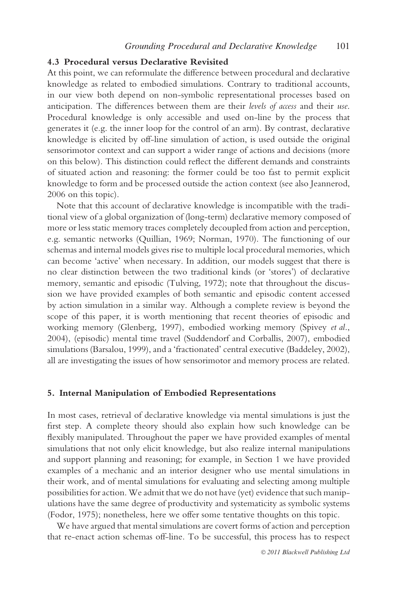# **4.3 Procedural versus Declarative Revisited**

At this point, we can reformulate the difference between procedural and declarative knowledge as related to embodied simulations. Contrary to traditional accounts, in our view both depend on non-symbolic representational processes based on anticipation. The differences between them are their *levels of access* and their *use*. Procedural knowledge is only accessible and used on-line by the process that generates it (e.g. the inner loop for the control of an arm). By contrast, declarative knowledge is elicited by off-line simulation of action, is used outside the original sensorimotor context and can support a wider range of actions and decisions (more on this below). This distinction could reflect the different demands and constraints of situated action and reasoning: the former could be too fast to permit explicit knowledge to form and be processed outside the action context (see also Jeannerod, 2006 on this topic).

Note that this account of declarative knowledge is incompatible with the traditional view of a global organization of (long-term) declarative memory composed of more or less static memory traces completely decoupled from action and perception, e.g. semantic networks (Quillian, 1969; Norman, 1970). The functioning of our schemas and internal models gives rise to multiple local procedural memories, which can become 'active' when necessary. In addition, our models suggest that there is no clear distinction between the two traditional kinds (or 'stores') of declarative memory, semantic and episodic (Tulving, 1972); note that throughout the discussion we have provided examples of both semantic and episodic content accessed by action simulation in a similar way. Although a complete review is beyond the scope of this paper, it is worth mentioning that recent theories of episodic and working memory (Glenberg, 1997), embodied working memory (Spivey *et al*., 2004), (episodic) mental time travel (Suddendorf and Corballis, 2007), embodied simulations (Barsalou, 1999), and a 'fractionated' central executive (Baddeley, 2002), all are investigating the issues of how sensorimotor and memory process are related.

#### **5. Internal Manipulation of Embodied Representations**

In most cases, retrieval of declarative knowledge via mental simulations is just the first step. A complete theory should also explain how such knowledge can be flexibly manipulated. Throughout the paper we have provided examples of mental simulations that not only elicit knowledge, but also realize internal manipulations and support planning and reasoning; for example, in Section 1 we have provided examples of a mechanic and an interior designer who use mental simulations in their work, and of mental simulations for evaluating and selecting among multiple possibilities for action. We admit that we do not have (yet) evidence that such manipulations have the same degree of productivity and systematicity as symbolic systems (Fodor, 1975); nonetheless, here we offer some tentative thoughts on this topic.

We have argued that mental simulations are covert forms of action and perception that re-enact action schemas off-line. To be successful, this process has to respect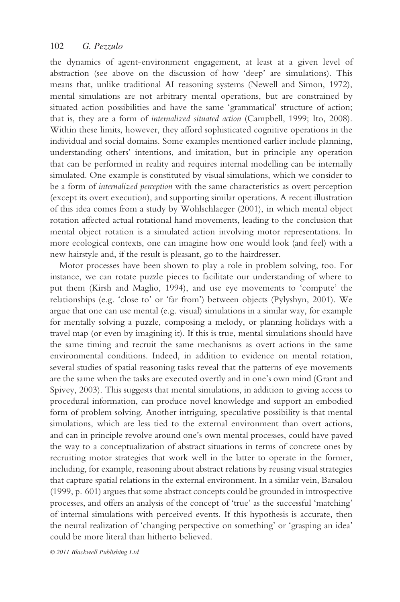the dynamics of agent-environment engagement, at least at a given level of abstraction (see above on the discussion of how 'deep' are simulations). This means that, unlike traditional AI reasoning systems (Newell and Simon, 1972), mental simulations are not arbitrary mental operations, but are constrained by situated action possibilities and have the same 'grammatical' structure of action; that is, they are a form of *internalized situated action* (Campbell, 1999; Ito, 2008). Within these limits, however, they afford sophisticated cognitive operations in the individual and social domains. Some examples mentioned earlier include planning, understanding others' intentions, and imitation, but in principle any operation that can be performed in reality and requires internal modelling can be internally simulated. One example is constituted by visual simulations, which we consider to be a form of *internalized perception* with the same characteristics as overt perception (except its overt execution), and supporting similar operations. A recent illustration of this idea comes from a study by Wohlschlaeger (2001), in which mental object rotation affected actual rotational hand movements, leading to the conclusion that mental object rotation is a simulated action involving motor representations. In more ecological contexts, one can imagine how one would look (and feel) with a new hairstyle and, if the result is pleasant, go to the hairdresser.

Motor processes have been shown to play a role in problem solving, too. For instance, we can rotate puzzle pieces to facilitate our understanding of where to put them (Kirsh and Maglio, 1994), and use eye movements to 'compute' the relationships (e.g. 'close to' or 'far from') between objects (Pylyshyn, 2001). We argue that one can use mental (e.g. visual) simulations in a similar way, for example for mentally solving a puzzle, composing a melody, or planning holidays with a travel map (or even by imagining it). If this is true, mental simulations should have the same timing and recruit the same mechanisms as overt actions in the same environmental conditions. Indeed, in addition to evidence on mental rotation, several studies of spatial reasoning tasks reveal that the patterns of eye movements are the same when the tasks are executed overtly and in one's own mind (Grant and Spivey, 2003). This suggests that mental simulations, in addition to giving access to procedural information, can produce novel knowledge and support an embodied form of problem solving. Another intriguing, speculative possibility is that mental simulations, which are less tied to the external environment than overt actions, and can in principle revolve around one's own mental processes, could have paved the way to a conceptualization of abstract situations in terms of concrete ones by recruiting motor strategies that work well in the latter to operate in the former, including, for example, reasoning about abstract relations by reusing visual strategies that capture spatial relations in the external environment. In a similar vein, Barsalou (1999, p. 601) argues that some abstract concepts could be grounded in introspective processes, and offers an analysis of the concept of 'true' as the successful 'matching' of internal simulations with perceived events. If this hypothesis is accurate, then the neural realization of 'changing perspective on something' or 'grasping an idea' could be more literal than hitherto believed.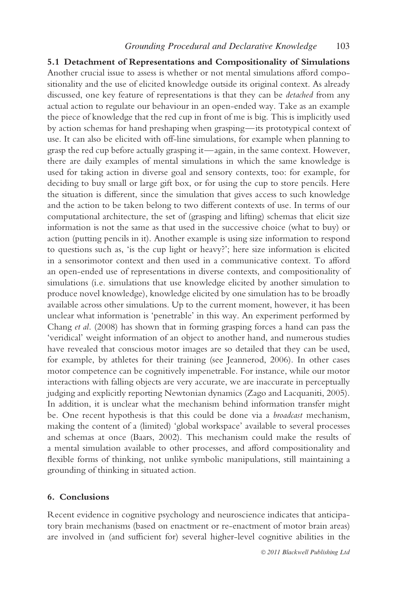#### *Grounding Procedural and Declarative Knowledge* 103

**5.1 Detachment of Representations and Compositionality of Simulations** Another crucial issue to assess is whether or not mental simulations afford compositionality and the use of elicited knowledge outside its original context. As already discussed, one key feature of representations is that they can be *detached* from any actual action to regulate our behaviour in an open-ended way. Take as an example the piece of knowledge that the red cup in front of me is big. This is implicitly used by action schemas for hand preshaping when grasping—its prototypical context of use. It can also be elicited with off-line simulations, for example when planning to grasp the red cup before actually grasping it—again, in the same context. However, there are daily examples of mental simulations in which the same knowledge is used for taking action in diverse goal and sensory contexts, too: for example, for deciding to buy small or large gift box, or for using the cup to store pencils. Here the situation is different, since the simulation that gives access to such knowledge and the action to be taken belong to two different contexts of use. In terms of our computational architecture, the set of (grasping and lifting) schemas that elicit size information is not the same as that used in the successive choice (what to buy) or action (putting pencils in it). Another example is using size information to respond to questions such as, 'is the cup light or heavy?'; here size information is elicited in a sensorimotor context and then used in a communicative context. To afford an open-ended use of representations in diverse contexts, and compositionality of simulations (i.e. simulations that use knowledge elicited by another simulation to produce novel knowledge), knowledge elicited by one simulation has to be broadly available across other simulations. Up to the current moment, however, it has been unclear what information is 'penetrable' in this way. An experiment performed by Chang *et al*. (2008) has shown that in forming grasping forces a hand can pass the 'veridical' weight information of an object to another hand, and numerous studies have revealed that conscious motor images are so detailed that they can be used, for example, by athletes for their training (see Jeannerod, 2006). In other cases motor competence can be cognitively impenetrable. For instance, while our motor interactions with falling objects are very accurate, we are inaccurate in perceptually judging and explicitly reporting Newtonian dynamics (Zago and Lacquaniti, 2005). In addition, it is unclear what the mechanism behind information transfer might be. One recent hypothesis is that this could be done via a *broadcast* mechanism, making the content of a (limited) 'global workspace' available to several processes and schemas at once (Baars, 2002). This mechanism could make the results of a mental simulation available to other processes, and afford compositionality and flexible forms of thinking, not unlike symbolic manipulations, still maintaining a grounding of thinking in situated action.

#### **6. Conclusions**

Recent evidence in cognitive psychology and neuroscience indicates that anticipatory brain mechanisms (based on enactment or re-enactment of motor brain areas) are involved in (and sufficient for) several higher-level cognitive abilities in the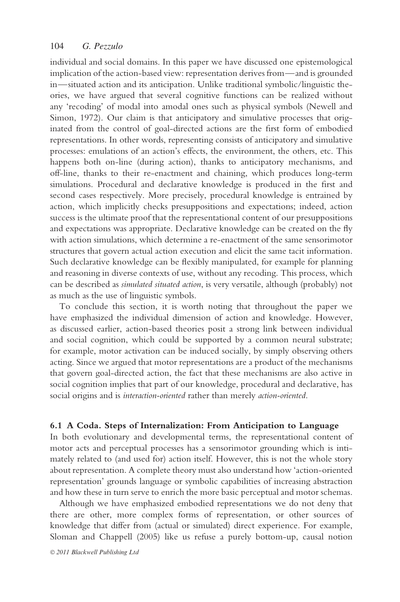individual and social domains. In this paper we have discussed one epistemological implication of the action-based view: representation derives from—and is grounded in— situated action and its anticipation. Unlike traditional symbolic/linguistic theories, we have argued that several cognitive functions can be realized without any 'recoding' of modal into amodal ones such as physical symbols (Newell and Simon, 1972). Our claim is that anticipatory and simulative processes that originated from the control of goal-directed actions are the first form of embodied representations. In other words, representing consists of anticipatory and simulative processes: emulations of an action's effects, the environment, the others, etc. This happens both on-line (during action), thanks to anticipatory mechanisms, and off-line, thanks to their re-enactment and chaining, which produces long-term simulations. Procedural and declarative knowledge is produced in the first and second cases respectively. More precisely, procedural knowledge is entrained by action, which implicitly checks presuppositions and expectations; indeed, action success is the ultimate proof that the representational content of our presuppositions and expectations was appropriate. Declarative knowledge can be created on the fly with action simulations, which determine a re-enactment of the same sensorimotor structures that govern actual action execution and elicit the same tacit information. Such declarative knowledge can be flexibly manipulated, for example for planning and reasoning in diverse contexts of use, without any recoding. This process, which can be described as *simulated situated action*, is very versatile, although (probably) not as much as the use of linguistic symbols.

To conclude this section, it is worth noting that throughout the paper we have emphasized the individual dimension of action and knowledge. However, as discussed earlier, action-based theories posit a strong link between individual and social cognition, which could be supported by a common neural substrate; for example, motor activation can be induced socially, by simply observing others acting. Since we argued that motor representations are a product of the mechanisms that govern goal-directed action, the fact that these mechanisms are also active in social cognition implies that part of our knowledge, procedural and declarative, has social origins and is *interaction-oriented* rather than merely *action-oriented*.

# **6.1 A Coda. Steps of Internalization: From Anticipation to Language**

In both evolutionary and developmental terms, the representational content of motor acts and perceptual processes has a sensorimotor grounding which is intimately related to (and used for) action itself. However, this is not the whole story about representation. A complete theory must also understand how 'action-oriented representation' grounds language or symbolic capabilities of increasing abstraction and how these in turn serve to enrich the more basic perceptual and motor schemas.

Although we have emphasized embodied representations we do not deny that there are other, more complex forms of representation, or other sources of knowledge that differ from (actual or simulated) direct experience. For example, Sloman and Chappell (2005) like us refuse a purely bottom-up, causal notion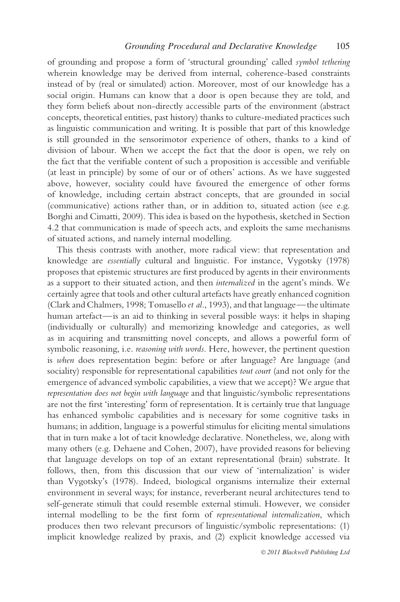of grounding and propose a form of 'structural grounding' called *symbol tethering* wherein knowledge may be derived from internal, coherence-based constraints instead of by (real or simulated) action. Moreover, most of our knowledge has a social origin. Humans can know that a door is open because they are told, and they form beliefs about non-directly accessible parts of the environment (abstract concepts, theoretical entities, past history) thanks to culture-mediated practices such as linguistic communication and writing. It is possible that part of this knowledge is still grounded in the sensorimotor experience of others, thanks to a kind of division of labour. When we accept the fact that the door is open, we rely on the fact that the verifiable content of such a proposition is accessible and verifiable (at least in principle) by some of our or of others' actions. As we have suggested above, however, sociality could have favoured the emergence of other forms of knowledge, including certain abstract concepts, that are grounded in social (communicative) actions rather than, or in addition to, situated action (see e.g. Borghi and Cimatti, 2009). This idea is based on the hypothesis, sketched in Section 4.2 that communication is made of speech acts, and exploits the same mechanisms of situated actions, and namely internal modelling.

This thesis contrasts with another, more radical view: that representation and knowledge are *essentially* cultural and linguistic. For instance, Vygotsky (1978) proposes that epistemic structures are first produced by agents in their environments as a support to their situated action, and then *internalized* in the agent's minds. We certainly agree that tools and other cultural artefacts have greatly enhanced cognition (Clark and Chalmers, 1998; Tomasello *et al*., 1993), and that language—the ultimate human artefact—is an aid to thinking in several possible ways: it helps in shaping (individually or culturally) and memorizing knowledge and categories, as well as in acquiring and transmitting novel concepts, and allows a powerful form of symbolic reasoning, i.e. *reasoning with words*. Here, however, the pertinent question is *when* does representation begin: before or after language? Are language (and sociality) responsible for representational capabilities *tout court* (and not only for the emergence of advanced symbolic capabilities, a view that we accept)? We argue that *representation does not begin with language* and that linguistic/symbolic representations are not the first 'interesting' form of representation. It is certainly true that language has enhanced symbolic capabilities and is necessary for some cognitive tasks in humans; in addition, language is a powerful stimulus for eliciting mental simulations that in turn make a lot of tacit knowledge declarative. Nonetheless, we, along with many others (e.g. Dehaene and Cohen, 2007), have provided reasons for believing that language develops on top of an extant representational (brain) substrate. It follows, then, from this discussion that our view of 'internalization' is wider than Vygotsky's (1978). Indeed, biological organisms internalize their external environment in several ways; for instance, reverberant neural architectures tend to self-generate stimuli that could resemble external stimuli. However, we consider internal modelling to be the first form of *representational internalization*, which produces then two relevant precursors of linguistic/symbolic representations: (1) implicit knowledge realized by praxis, and (2) explicit knowledge accessed via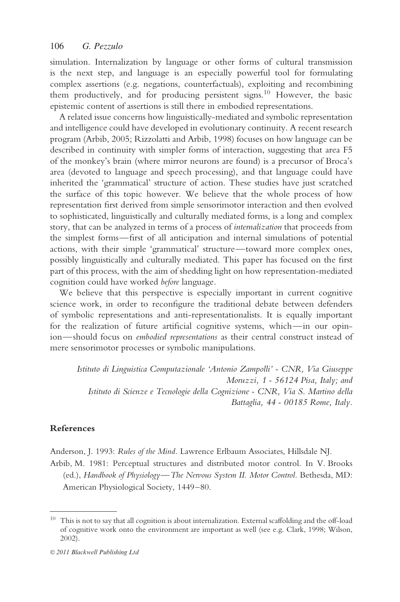simulation. Internalization by language or other forms of cultural transmission is the next step, and language is an especially powerful tool for formulating complex assertions (e.g. negations, counterfactuals), exploiting and recombining them productively, and for producing persistent signs.<sup>10</sup> However, the basic epistemic content of assertions is still there in embodied representations.

A related issue concerns how linguistically-mediated and symbolic representation and intelligence could have developed in evolutionary continuity. A recent research program (Arbib, 2005; Rizzolatti and Arbib, 1998) focuses on how language can be described in continuity with simpler forms of interaction, suggesting that area F5 of the monkey's brain (where mirror neurons are found) is a precursor of Broca's area (devoted to language and speech processing), and that language could have inherited the 'grammatical' structure of action. These studies have just scratched the surface of this topic however. We believe that the whole process of how representation first derived from simple sensorimotor interaction and then evolved to sophisticated, linguistically and culturally mediated forms, is a long and complex story, that can be analyzed in terms of a process of *internalization* that proceeds from the simplest forms—first of all anticipation and internal simulations of potential actions, with their simple 'grammatical' structure—toward more complex ones, possibly linguistically and culturally mediated. This paper has focused on the first part of this process, with the aim of shedding light on how representation-mediated cognition could have worked *before* language.

We believe that this perspective is especially important in current cognitive science work, in order to reconfigure the traditional debate between defenders of symbolic representations and anti-representationalists. It is equally important for the realization of future artificial cognitive systems, which—in our opinion— should focus on *embodied representations* as their central construct instead of mere sensorimotor processes or symbolic manipulations.

*Istituto di Linguistica Computazionale 'Antonio Zampolli' - CNR, Via Giuseppe Moruzzi, 1 - 56124 Pisa, Italy; and Istituto di Scienze e Tecnologie della Cognizione - CNR, Via S. Martino della Battaglia, 44 - 00185 Rome, Italy.*

# **References**

Anderson, J. 1993: *Rules of the Mind.* Lawrence Erlbaum Associates, Hillsdale NJ. Arbib, M. 1981: Perceptual structures and distributed motor control. In V. Brooks

(ed.), *Handbook of Physiology—The Nervous System II. Motor Control.* Bethesda, MD: American Physiological Society, 1449–80.

 $10$  This is not to say that all cognition is about internalization. External scaffolding and the off-load of cognitive work onto the environment are important as well (see e.g. Clark, 1998; Wilson, 2002).

<sup>©</sup> *2011 Blackwell Publishing Ltd*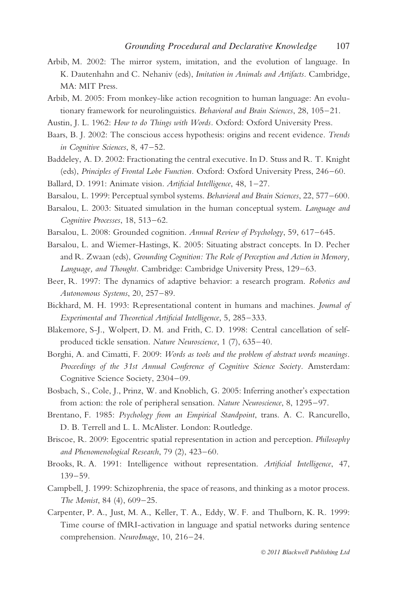- Arbib, M. 2002: The mirror system, imitation, and the evolution of language. In K. Dautenhahn and C. Nehaniv (eds), *Imitation in Animals and Artifacts.* Cambridge, MA: MIT Press.
- Arbib, M. 2005: From monkey-like action recognition to human language: An evolutionary framework for neurolinguistics. *Behavioral and Brain Sciences*, 28, 105–21.
- Austin, J. L. 1962: *How to do Things with Words.* Oxford: Oxford University Press.
- Baars, B. J. 2002: The conscious access hypothesis: origins and recent evidence. *Trends in Cognitive Sciences*, 8, 47–52.
- Baddeley, A. D. 2002: Fractionating the central executive. In D. Stuss and R. T. Knight (eds), *Principles of Frontal Lobe Function.* Oxford: Oxford University Press, 246–60.
- Ballard, D. 1991: Animate vision. *Artificial Intelligence*, 48, 1–27.
- Barsalou, L. 1999: Perceptual symbol systems. *Behavioral and Brain Sciences*, 22, 577–600.
- Barsalou, L. 2003: Situated simulation in the human conceptual system. *Language and Cognitive Processes*, 18, 513–62.
- Barsalou, L. 2008: Grounded cognition. *Annual Review of Psychology*, 59, 617–645.
- Barsalou, L. and Wiemer-Hastings, K. 2005: Situating abstract concepts. In D. Pecher and R. Zwaan (eds), *Grounding Cognition: The Role of Perception and Action in Memory, Language, and Thought.* Cambridge: Cambridge University Press, 129–63.
- Beer, R. 1997: The dynamics of adaptive behavior: a research program. *Robotics and Autonomous Systems*, 20, 257–89.
- Bickhard, M. H. 1993: Representational content in humans and machines. *Journal of Experimental and Theoretical Artificial Intelligence*, 5, 285–333.
- Blakemore, S-J., Wolpert, D. M. and Frith, C. D. 1998: Central cancellation of selfproduced tickle sensation. *Nature Neuroscience*, 1 (7), 635–40.
- Borghi, A. and Cimatti, F. 2009: *Words as tools and the problem of abstract words meanings. Proceedings of the 31st Annual Conference of Cognitive Science Society.* Amsterdam: Cognitive Science Society, 2304–09.
- Bosbach, S., Cole, J., Prinz, W. and Knoblich, G. 2005: Inferring another's expectation from action: the role of peripheral sensation. *Nature Neuroscience*, 8, 1295–97.
- Brentano, F. 1985: *Psychology from an Empirical Standpoint*, trans. A. C. Rancurello, D. B. Terrell and L. L. McAlister. London: Routledge.
- Briscoe, R. 2009: Egocentric spatial representation in action and perception. *Philosophy and Phenomenological Research*, 79 (2), 423–60.
- Brooks, R. A. 1991: Intelligence without representation. *Artificial Intelligence*, 47, 139–59.
- Campbell, J. 1999: Schizophrenia, the space of reasons, and thinking as a motor process. *The Monist*, 84 (4), 609–25.
- Carpenter, P. A., Just, M. A., Keller, T. A., Eddy, W. F. and Thulborn, K. R. 1999: Time course of fMRI-activation in language and spatial networks during sentence comprehension. *NeuroImage*, 10, 216–24.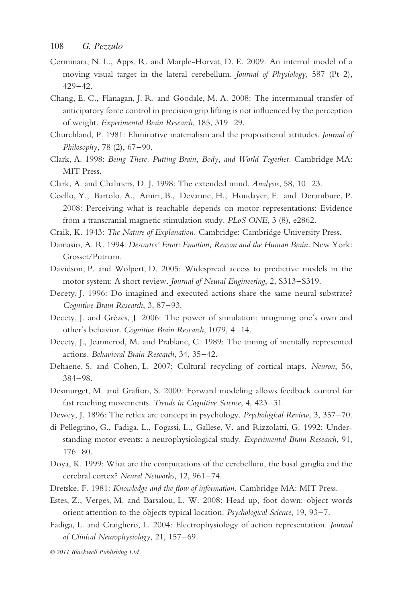- Cerminara, N. L., Apps, R. and Marple-Horvat, D. E. 2009: An internal model of a moving visual target in the lateral cerebellum. *Journal of Physiology*, 587 (Pt 2), 429–42.
- Chang, E. C., Flanagan, J. R. and Goodale, M. A. 2008: The intermanual transfer of anticipatory force control in precision grip lifting is not influenced by the perception of weight. *Experimental Brain Research*, 185, 319–29.
- Churchland, P. 1981: Eliminative materialism and the propositional attitudes. *Journal of Philosophy*, 78 (2), 67–90.
- Clark, A. 1998: *Being There. Putting Brain, Body, and World Together.* Cambridge MA: MIT Press.
- Clark, A. and Chalmers, D. J. 1998: The extended mind. *Analysis*, 58, 10–23.
- Coello, Y., Bartolo, A., Amiri, B., Devanne, H., Houdayer, E. and Derambure, P. 2008: Perceiving what is reachable depends on motor representations: Evidence from a transcranial magnetic stimulation study. *PLoS ONE*, 3 (8), e2862.
- Craik, K. 1943: *The Nature of Explanation.* Cambridge: Cambridge University Press.
- Damasio, A. R. 1994: *Descartes' Error: Emotion, Reason and the Human Brain.* New York: Grosset/Putnam.
- Davidson, P. and Wolpert, D. 2005: Widespread access to predictive models in the motor system: A short review. *Journal of Neural Engineering*, 2, S313–S319.
- Decety, J. 1996: Do imagined and executed actions share the same neural substrate? *Cognitive Brain Research*, 3, 87–93.
- Decety, J. and Grèzes, J. 2006: The power of simulation: imagining one's own and other's behavior. *Cognitive Brain Research*, 1079, 4–14.
- Decety, J., Jeannerod, M. and Prablanc, C. 1989: The timing of mentally represented actions. *Behavioral Brain Research*, 34, 35–42.
- Dehaene, S. and Cohen, L. 2007: Cultural recycling of cortical maps. *Neuron*, 56, 384–98.
- Desmurget, M. and Grafton, S. 2000: Forward modeling allows feedback control for fast reaching movements. *Trends in Cognitive Science*, 4, 423–31.
- Dewey, J. 1896: The reflex arc concept in psychology. *Psychological Review*, 3, 357–70.
- di Pellegrino, G., Fadiga, L., Fogassi, L., Gallese, V. and Rizzolatti, G. 1992: Understanding motor events: a neurophysiological study. *Experimental Brain Research*, 91, 176–80.
- Doya, K. 1999: What are the computations of the cerebellum, the basal ganglia and the cerebral cortex? *Neural Networks*, 12, 961–74.
- Dretske, F. 1981: *Knowledge and the flow of information.* Cambridge MA: MIT Press.
- Estes, Z., Verges, M. and Barsalou, L. W. 2008: Head up, foot down: object words orient attention to the objects typical location. *Psychological Science*, 19, 93–7.
- Fadiga, L. and Craighero, L. 2004: Electrophysiology of action representation. *Journal of Clinical Neurophysiology*, 21, 157–69.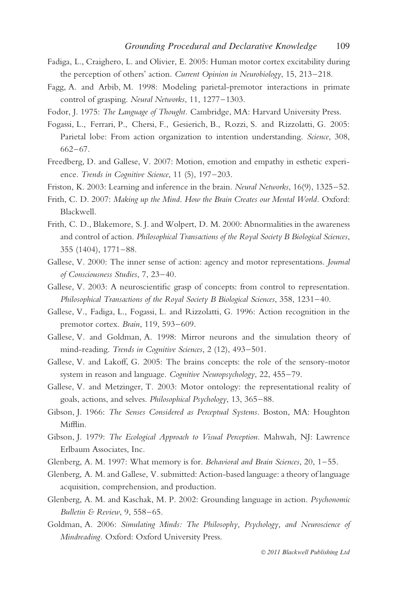- Fadiga, L., Craighero, L. and Olivier, E. 2005: Human motor cortex excitability during the perception of others' action. *Current Opinion in Neurobiology*, 15, 213–218.
- Fagg, A. and Arbib, M. 1998: Modeling parietal-premotor interactions in primate control of grasping. *Neural Networks*, 11, 1277–1303.
- Fodor, J. 1975: *The Language of Thought.* Cambridge, MA: Harvard University Press.
- Fogassi, L., Ferrari, P., Chersi, F., Gesierich, B., Rozzi, S. and Rizzolatti, G. 2005: Parietal lobe: From action organization to intention understanding. *Science*, 308, 662–67.
- Freedberg, D. and Gallese, V. 2007: Motion, emotion and empathy in esthetic experience. *Trends in Cognitive Science*, 11 (5), 197–203.
- Friston, K. 2003: Learning and inference in the brain. *Neural Networks*, 16(9), 1325–52.
- Frith, C. D. 2007: *Making up the Mind. How the Brain Creates our Mental World.* Oxford: Blackwell.
- Frith, C. D., Blakemore, S. J. and Wolpert, D. M. 2000: Abnormalities in the awareness and control of action. *Philosophical Transactions of the Royal Society B Biological Sciences*, 355 (1404), 1771–88.
- Gallese, V. 2000: The inner sense of action: agency and motor representations. *Journal of Consciousness Studies*, 7, 23–40.
- Gallese, V. 2003: A neuroscientific grasp of concepts: from control to representation. *Philosophical Transactions of the Royal Society B Biological Sciences*, 358, 1231–40.
- Gallese, V., Fadiga, L., Fogassi, L. and Rizzolatti, G. 1996: Action recognition in the premotor cortex. *Brain*, 119, 593–609.
- Gallese, V. and Goldman, A. 1998: Mirror neurons and the simulation theory of mind-reading. *Trends in Cognitive Sciences*, 2 (12), 493–501.
- Gallese, V. and Lakoff, G. 2005: The brains concepts: the role of the sensory-motor system in reason and language. *Cognitive Neuropsychology*, 22, 455–79.
- Gallese, V. and Metzinger, T. 2003: Motor ontology: the representational reality of goals, actions, and selves. *Philosophical Psychology*, 13, 365–88.
- Gibson, J. 1966: *The Senses Considered as Perceptual Systems.* Boston, MA: Houghton Mifflin.
- Gibson, J. 1979: *The Ecological Approach to Visual Perception.* Mahwah, NJ: Lawrence Erlbaum Associates, Inc.
- Glenberg, A. M. 1997: What memory is for. *Behavioral and Brain Sciences*, 20, 1–55.
- Glenberg, A. M. and Gallese, V. submitted: Action-based language: a theory of language acquisition, comprehension, and production.
- Glenberg, A. M. and Kaschak, M. P. 2002: Grounding language in action. *Psychonomic Bulletin & Review*, 9, 558–65.
- Goldman, A. 2006: *Simulating Minds: The Philosophy, Psychology, and Neuroscience of Mindreading.* Oxford: Oxford University Press.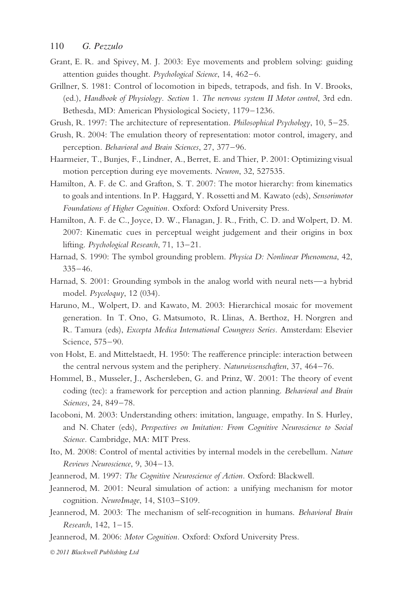- Grant, E. R. and Spivey, M. J. 2003: Eye movements and problem solving: guiding attention guides thought. *Psychological Science*, 14, 462–6.
- Grillner, S. 1981: Control of locomotion in bipeds, tetrapods, and fish. In V. Brooks, (ed.), *Handbook of Physiology. Section* 1*. The nervous system II Motor control*, 3rd edn. Bethesda, MD: American Physiological Society, 1179–1236.
- Grush, R. 1997: The architecture of representation. *Philosophical Psychology*, 10, 5–25.
- Grush, R. 2004: The emulation theory of representation: motor control, imagery, and perception. *Behavioral and Brain Sciences*, 27, 377–96.
- Haarmeier, T., Bunjes, F., Lindner, A., Berret, E. and Thier, P. 2001: Optimizing visual motion perception during eye movements. *Neuron*, 32, 527535.
- Hamilton, A. F. de C. and Grafton, S. T. 2007: The motor hierarchy: from kinematics to goals and intentions. In P. Haggard, Y. Rossetti and M. Kawato (eds), *Sensorimotor Foundations of Higher Cognition.* Oxford: Oxford University Press.
- Hamilton, A. F. de C., Joyce, D. W., Flanagan, J. R., Frith, C. D. and Wolpert, D. M. 2007: Kinematic cues in perceptual weight judgement and their origins in box lifting. *Psychological Research*, 71, 13–21.
- Harnad, S. 1990: The symbol grounding problem. *Physica D: Nonlinear Phenomena*, 42, 335–46.
- Harnad, S. 2001: Grounding symbols in the analog world with neural nets—a hybrid model. *Psycoloquy*, 12 (034).
- Haruno, M., Wolpert, D. and Kawato, M. 2003: Hierarchical mosaic for movement generation. In T. Ono, G. Matsumoto, R. Llinas, A. Berthoz, H. Norgren and R. Tamura (eds), *Excepta Medica International Coungress Series.* Amsterdam: Elsevier Science, 575–90.
- von Holst, E. and Mittelstaedt, H. 1950: The reafference principle: interaction between the central nervous system and the periphery. *Naturwissenschaften*, 37, 464–76.
- Hommel, B., Musseler, J., Aschersleben, G. and Prinz, W. 2001: The theory of event coding (tec): a framework for perception and action planning. *Behavioral and Brain Sciences*, 24, 849–78.
- Iacoboni, M. 2003: Understanding others: imitation, language, empathy. In S. Hurley, and N. Chater (eds), *Perspectives on Imitation: From Cognitive Neuroscience to Social Science.* Cambridge, MA: MIT Press.
- Ito, M. 2008: Control of mental activities by internal models in the cerebellum. *Nature Reviews Neuroscience*, 9, 304–13.
- Jeannerod, M. 1997: *The Cognitive Neuroscience of Action.* Oxford: Blackwell.
- Jeannerod, M. 2001: Neural simulation of action: a unifying mechanism for motor cognition. *NeuroImage*, 14, S103–S109.
- Jeannerod, M. 2003: The mechanism of self-recognition in humans. *Behavioral Brain Research*, 142, 1–15.
- Jeannerod, M. 2006: *Motor Cognition.* Oxford: Oxford University Press.

© *2011 Blackwell Publishing Ltd*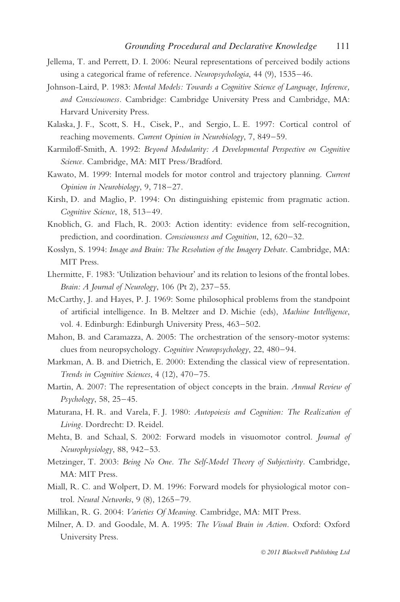- Jellema, T. and Perrett, D. I. 2006: Neural representations of perceived bodily actions using a categorical frame of reference. *Neuropsychologia*, 44 (9), 1535–46.
- Johnson-Laird, P. 1983: *Mental Models: Towards a Cognitive Science of Language, Inference, and Consciousness.* Cambridge: Cambridge University Press and Cambridge, MA: Harvard University Press.
- Kalaska, J. F., Scott, S. H., Cisek, P., and Sergio, L. E. 1997: Cortical control of reaching movements. *Current Opinion in Neurobiology*, 7, 849–59.
- Karmiloff-Smith, A. 1992: *Beyond Modularity: A Developmental Perspective on Cognitive Science.* Cambridge, MA: MIT Press/Bradford.
- Kawato, M. 1999: Internal models for motor control and trajectory planning. *Current Opinion in Neurobiology*, 9, 718–27.
- Kirsh, D. and Maglio, P. 1994: On distinguishing epistemic from pragmatic action. *Cognitive Science*, 18, 513–49.
- Knoblich, G. and Flach, R. 2003: Action identity: evidence from self-recognition, prediction, and coordination. *Consciousness and Cognition*, 12, 620–32.
- Kosslyn, S. 1994: *Image and Brain: The Resolution of the Imagery Debate.* Cambridge, MA: MIT Press.
- Lhermitte, F. 1983: 'Utilization behaviour' and its relation to lesions of the frontal lobes. *Brain: A Journal of Neurology*, 106 (Pt 2), 237–55.
- McCarthy, J. and Hayes, P. J. 1969: Some philosophical problems from the standpoint of artificial intelligence. In B. Meltzer and D. Michie (eds), *Machine Intelligence*, vol. 4. Edinburgh: Edinburgh University Press, 463–502.
- Mahon, B. and Caramazza, A. 2005: The orchestration of the sensory-motor systems: clues from neuropsychology. *Cognitive Neuropsychology*, 22, 480–94.
- Markman, A. B. and Dietrich, E. 2000: Extending the classical view of representation. *Trends in Cognitive Sciences*, 4 (12), 470–75.
- Martin, A. 2007: The representation of object concepts in the brain. *Annual Review of Psychology*, 58, 25–45.
- Maturana, H. R. and Varela, F. J. 1980: *Autopoiesis and Cognition: The Realization of Living.* Dordrecht: D. Reidel.
- Mehta, B. and Schaal, S. 2002: Forward models in visuomotor control. *Journal of Neurophysiology*, 88, 942–53.
- Metzinger, T. 2003: *Being No One. The Self-Model Theory of Subjectivity.* Cambridge, MA: MIT Press.
- Miall, R. C. and Wolpert, D. M. 1996: Forward models for physiological motor control. *Neural Networks*, 9 (8), 1265–79.
- Millikan, R. G. 2004: *Varieties Of Meaning.* Cambridge, MA: MIT Press.
- Milner, A. D. and Goodale, M. A. 1995: *The Visual Brain in Action.* Oxford: Oxford University Press.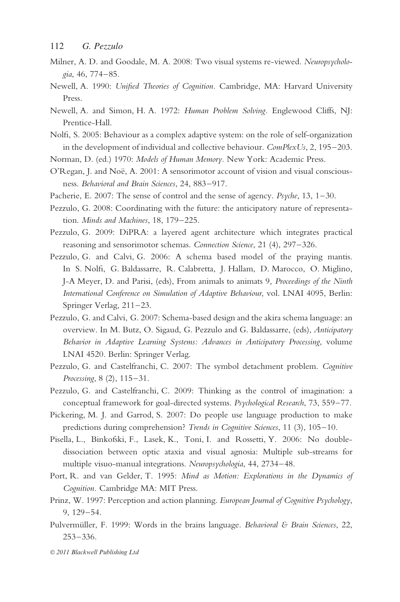- Milner, A. D. and Goodale, M. A. 2008: Two visual systems re-viewed. *Neuropsychologia*, 46, 774–85.
- Newell, A. 1990: *Unified Theories of Cognition.* Cambridge, MA: Harvard University Press.
- Newell, A. and Simon, H. A. 1972: *Human Problem Solving.* Englewood Cliffs, NJ: Prentice-Hall.
- Nolfi, S. 2005: Behaviour as a complex adaptive system: on the role of self-organization in the development of individual and collective behaviour. *ComPlexUs*, 2, 195–203.
- Norman, D. (ed.) 1970: *Models of Human Memory.* New York: Academic Press.
- O'Regan, J. and Noë, A. 2001: A sensorimotor account of vision and visual consciousness. *Behavioral and Brain Sciences*, 24, 883–917.
- Pacherie, E. 2007: The sense of control and the sense of agency. *Psyche*, 13, 1–30.
- Pezzulo, G. 2008: Coordinating with the future: the anticipatory nature of representation. *Minds and Machines*, 18, 179–225.
- Pezzulo, G. 2009: DiPRA: a layered agent architecture which integrates practical reasoning and sensorimotor schemas. *Connection Science*, 21 (4), 297–326.
- Pezzulo, G. and Calvi, G. 2006: A schema based model of the praying mantis. In S. Nolfi, G. Baldassarre, R. Calabretta, J. Hallam, D. Marocco, O. Miglino, J-A Meyer, D. and Parisi, (eds), From animals to animats 9*, Proceedings of the Ninth International Conference on Simulation of Adaptive Behaviour*, vol. LNAI 4095, Berlin: Springer Verlag, 211–23.
- Pezzulo, G. and Calvi, G. 2007: Schema-based design and the akira schema language: an overview. In M. Butz, O. Sigaud, G. Pezzulo and G. Baldassarre, (eds), *Anticipatory Behavior in Adaptive Learning Systems: Advances in Anticipatory Processing*, volume LNAI 4520. Berlin: Springer Verlag.
- Pezzulo, G. and Castelfranchi, C. 2007: The symbol detachment problem. *Cognitive Processing*, 8 (2), 115–31.
- Pezzulo, G. and Castelfranchi, C. 2009: Thinking as the control of imagination: a conceptual framework for goal-directed systems. *Psychological Research*, 73, 559–77.
- Pickering, M. J. and Garrod, S. 2007: Do people use language production to make predictions during comprehension? *Trends in Cognitive Sciences*, 11 (3), 105–10.
- Pisella, L., Binkofski, F., Lasek, K., Toni, I. and Rossetti, Y. 2006: No doubledissociation between optic ataxia and visual agnosia: Multiple sub-streams for multiple visuo-manual integrations. *Neuropsychologia*, 44, 2734–48.
- Port, R. and van Gelder, T. 1995: *Mind as Motion: Explorations in the Dynamics of Cognition.* Cambridge MA: MIT Press.
- Prinz, W. 1997: Perception and action planning. *European Journal of Cognitive Psychology*, 9, 129–54.
- Pulvermüller, F. 1999: Words in the brains language. Behavioral & Brain Sciences, 22, 253–336.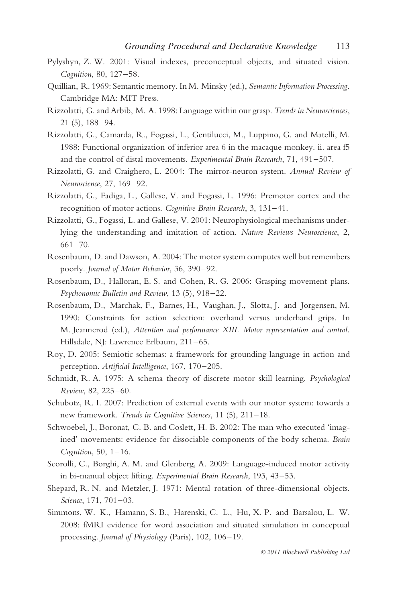- Pylyshyn, Z. W. 2001: Visual indexes, preconceptual objects, and situated vision. *Cognition*, 80, 127–58.
- Quillian, R. 1969: Semantic memory. In M. Minsky (ed.), *Semantic Information Processing.* Cambridge MA: MIT Press.
- Rizzolatti, G. and Arbib, M. A. 1998: Language within our grasp. *Trends in Neurosciences*, 21 (5), 188–94.
- Rizzolatti, G., Camarda, R., Fogassi, L., Gentilucci, M., Luppino, G. and Matelli, M. 1988: Functional organization of inferior area 6 in the macaque monkey. ii. area f5 and the control of distal movements. *Experimental Brain Research*, 71, 491–507.
- Rizzolatti, G. and Craighero, L. 2004: The mirror-neuron system. *Annual Review of Neuroscience*, 27, 169–92.
- Rizzolatti, G., Fadiga, L., Gallese, V. and Fogassi, L. 1996: Premotor cortex and the recognition of motor actions. *Cognitive Brain Research*, 3, 131–41.
- Rizzolatti, G., Fogassi, L. and Gallese, V. 2001: Neurophysiological mechanisms underlying the understanding and imitation of action. *Nature Reviews Neuroscience*, 2, 661–70.
- Rosenbaum, D. and Dawson, A. 2004: The motor system computes well but remembers poorly. *Journal of Motor Behavior*, 36, 390–92.
- Rosenbaum, D., Halloran, E. S. and Cohen, R. G. 2006: Grasping movement plans. *Psychonomic Bulletin and Review*, 13 (5), 918–22.
- Rosenbaum, D., Marchak, F., Barnes, H., Vaughan, J., Slotta, J. and Jorgensen, M. 1990: Constraints for action selection: overhand versus underhand grips. In M. Jeannerod (ed.), *Attention and performance XIII. Motor representation and control.* Hillsdale, NJ: Lawrence Erlbaum, 211–65.
- Roy, D. 2005: Semiotic schemas: a framework for grounding language in action and perception. *Artificial Intelligence*, 167, 170–205.
- Schmidt, R. A. 1975: A schema theory of discrete motor skill learning. *Psychological Review*, 82, 225–60.
- Schubotz, R. I. 2007: Prediction of external events with our motor system: towards a new framework. *Trends in Cognitive Sciences*, 11 (5), 211–18.
- Schwoebel, J., Boronat, C. B. and Coslett, H. B. 2002: The man who executed 'imagined' movements: evidence for dissociable components of the body schema. *Brain Cognition*, 50, 1–16.
- Scorolli, C., Borghi, A. M. and Glenberg, A. 2009: Language-induced motor activity in bi-manual object lifting. *Experimental Brain Research*, 193, 43–53.
- Shepard, R. N. and Metzler, J. 1971: Mental rotation of three-dimensional objects. *Science*, 171, 701–03.
- Simmons, W. K., Hamann, S. B., Harenski, C. L., Hu, X. P. and Barsalou, L. W. 2008: fMRI evidence for word association and situated simulation in conceptual processing. *Journal of Physiology* (Paris), 102, 106–19.